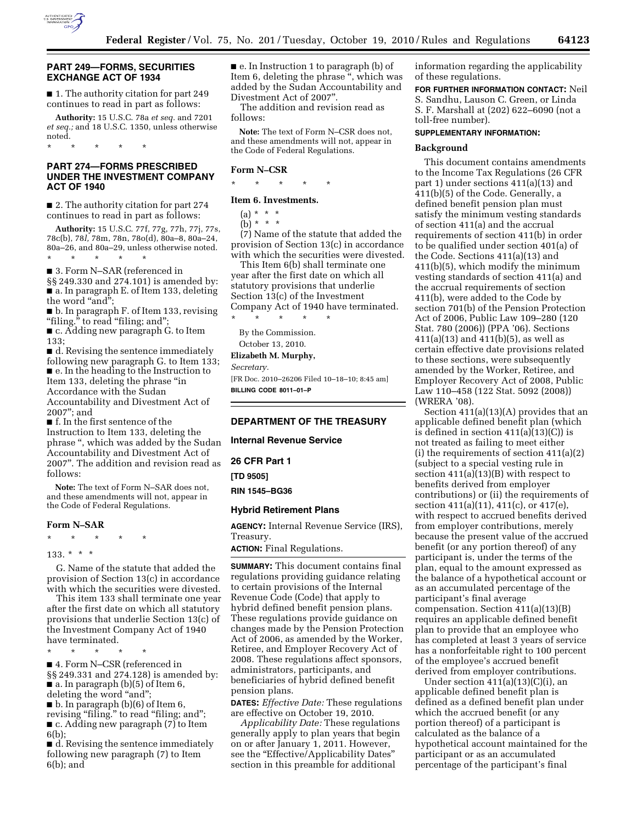

# **PART 249—FORMS, SECURITIES EXCHANGE ACT OF 1934**

■ 1. The authority citation for part 249 continues to read in part as follows:

**Authority:** 15 U.S.C. 78a *et seq.* and 7201 *et seq.;* and 18 U.S.C. 1350, unless otherwise noted.

### **PART 274—FORMS PRESCRIBED UNDER THE INVESTMENT COMPANY ACT OF 1940**

\* \* \* \* \*

■ 2. The authority citation for part 274 continues to read in part as follows:

**Authority:** 15 U.S.C. 77f, 77g, 77h, 77j, 77s, 78c(b), 78*l,* 78m, 78n, 78o(d), 80a–8, 80a–24, 80a–26, and 80a–29, unless otherwise noted. \* \* \* \* \*

■ 3. Form N–SAR (referenced in §§ 249.330 and 274.101) is amended by: ■ a. In paragraph E. of Item 133, deleting the word "and";

■ b. In paragraph F. of Item 133, revising "filing." to read "filing; and";

■ c. Adding new paragraph G. to Item 133;

■ d. Revising the sentence immediately following new paragraph G. to Item 133; ■ e. In the heading to the Instruction to Item 133, deleting the phrase ''in Accordance with the Sudan Accountability and Divestment Act of

2007''; and ■ f. In the first sentence of the

Instruction to Item 133, deleting the phrase '', which was added by the Sudan Accountability and Divestment Act of 2007''. The addition and revision read as follows:

**Note:** The text of Form N–SAR does not, and these amendments will not, appear in the Code of Federal Regulations.

#### **Form N–SAR**

\* \* \* \* \*

133. \* \* \*

G. Name of the statute that added the provision of Section 13(c) in accordance with which the securities were divested.

This item 133 shall terminate one year after the first date on which all statutory provisions that underlie Section 13(c) of the Investment Company Act of 1940 have terminated.

\* \* \* \* \*

■ 4. Form N–CSR (referenced in §§ 249.331 and 274.128) is amended by:  $\blacksquare$  a. In paragraph (b)(5) of Item 6, deleting the word "and";

 $\blacksquare$  b. In paragraph (b)(6) of Item 6, revising "filing." to read "filing; and"; ■ c. Adding new paragraph (7) to Item

6(b);

■ d. Revising the sentence immediately following new paragraph (7) to Item 6(b); and

■ e. In Instruction 1 to paragraph (b) of Item 6, deleting the phrase '', which was added by the Sudan Accountability and Divestment Act of 2007''.

The addition and revision read as follows:

**Note:** The text of Form N–CSR does not, and these amendments will not, appear in the Code of Federal Regulations.

#### **Form N–CSR**

\* \* \* \* \*

**Item 6. Investments.** 

 $(a) * * * *$ 

(b) \* \* \*

(7) Name of the statute that added the provision of Section 13(c) in accordance with which the securities were divested.

This Item 6(b) shall terminate one year after the first date on which all statutory provisions that underlie Section 13(c) of the Investment Company Act of 1940 have terminated.

\* \* \* \* \* By the Commission.

October 13, 2010.

**Elizabeth M. Murphy,** 

*Secretary.* 

[FR Doc. 2010–26206 Filed 10–18–10; 8:45 am] **BILLING CODE 8011–01–P** 

# **DEPARTMENT OF THE TREASURY**

**Internal Revenue Service** 

**26 CFR Part 1** 

**[TD 9505]** 

**RIN 1545–BG36** 

# **Hybrid Retirement Plans**

**AGENCY:** Internal Revenue Service (IRS), Treasury.

**ACTION:** Final Regulations.

**SUMMARY:** This document contains final regulations providing guidance relating to certain provisions of the Internal Revenue Code (Code) that apply to hybrid defined benefit pension plans. These regulations provide guidance on changes made by the Pension Protection Act of 2006, as amended by the Worker, Retiree, and Employer Recovery Act of 2008. These regulations affect sponsors, administrators, participants, and beneficiaries of hybrid defined benefit pension plans.

**DATES:** *Effective Date:* These regulations are effective on October 19, 2010.

*Applicability Date:* These regulations generally apply to plan years that begin on or after January 1, 2011. However, see the "Effective/Applicability Dates" section in this preamble for additional

information regarding the applicability of these regulations.

**FOR FURTHER INFORMATION CONTACT:** Neil S. Sandhu, Lauson C. Green, or Linda S. F. Marshall at (202) 622–6090 (not a toll-free number).

### **SUPPLEMENTARY INFORMATION:**

#### **Background**

This document contains amendments to the Income Tax Regulations (26 CFR part 1) under sections 411(a)(13) and 411(b)(5) of the Code. Generally, a defined benefit pension plan must satisfy the minimum vesting standards of section 411(a) and the accrual requirements of section 411(b) in order to be qualified under section 401(a) of the Code. Sections 411(a)(13) and 411(b)(5), which modify the minimum vesting standards of section 411(a) and the accrual requirements of section 411(b), were added to the Code by section 701(b) of the Pension Protection Act of 2006, Public Law 109–280 (120 Stat. 780 (2006)) (PPA '06). Sections 411(a)(13) and 411(b)(5), as well as certain effective date provisions related to these sections, were subsequently amended by the Worker, Retiree, and Employer Recovery Act of 2008, Public Law 110–458 (122 Stat. 5092 (2008)) (WRERA '08).

Section 411(a)(13)(A) provides that an applicable defined benefit plan (which is defined in section  $411(a)(13)(C)$  is not treated as failing to meet either (i) the requirements of section 411(a)(2) (subject to a special vesting rule in section 411(a)(13)(B) with respect to benefits derived from employer contributions) or (ii) the requirements of section 411(a)(11), 411(c), or 417(e), with respect to accrued benefits derived from employer contributions, merely because the present value of the accrued benefit (or any portion thereof) of any participant is, under the terms of the plan, equal to the amount expressed as the balance of a hypothetical account or as an accumulated percentage of the participant's final average compensation. Section 411(a)(13)(B) requires an applicable defined benefit plan to provide that an employee who has completed at least 3 years of service has a nonforfeitable right to 100 percent of the employee's accrued benefit derived from employer contributions.

Under section  $411(a)(13)(C)(i)$ , an applicable defined benefit plan is defined as a defined benefit plan under which the accrued benefit (or any portion thereof) of a participant is calculated as the balance of a hypothetical account maintained for the participant or as an accumulated percentage of the participant's final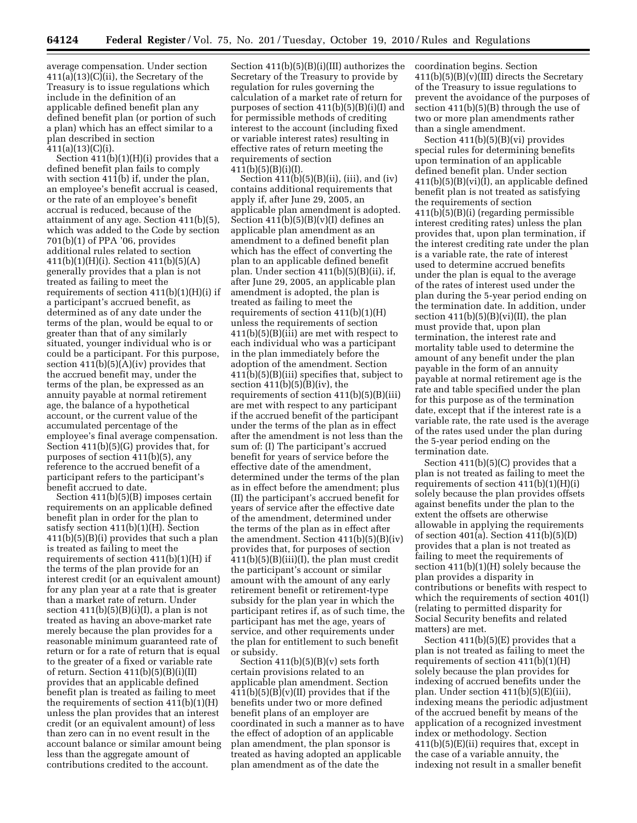average compensation. Under section 411(a)(13)(C)(ii), the Secretary of the Treasury is to issue regulations which include in the definition of an applicable defined benefit plan any defined benefit plan (or portion of such a plan) which has an effect similar to a plan described in section  $411(a)(13)(C)(i).$ 

Section 411(b)(1)(H)(i) provides that a defined benefit plan fails to comply with section 411(b) if, under the plan, an employee's benefit accrual is ceased, or the rate of an employee's benefit accrual is reduced, because of the attainment of any age. Section 411(b)(5), which was added to the Code by section 701(b)(1) of PPA '06, provides additional rules related to section 411(b)(1)(H)(i). Section 411(b)(5)(A) generally provides that a plan is not treated as failing to meet the requirements of section 411(b)(1)(H)(i) if a participant's accrued benefit, as determined as of any date under the terms of the plan, would be equal to or greater than that of any similarly situated, younger individual who is or could be a participant. For this purpose, section  $411(b)(5)(A)(iv)$  provides that the accrued benefit may, under the terms of the plan, be expressed as an annuity payable at normal retirement age, the balance of a hypothetical account, or the current value of the accumulated percentage of the employee's final average compensation. Section 411(b)(5)(G) provides that, for purposes of section 411(b)(5), any reference to the accrued benefit of a participant refers to the participant's benefit accrued to date.

Section 411(b)(5)(B) imposes certain requirements on an applicable defined benefit plan in order for the plan to satisfy section 411(b)(1)(H). Section 411(b)(5)(B)(i) provides that such a plan is treated as failing to meet the requirements of section 411(b)(1)(H) if the terms of the plan provide for an interest credit (or an equivalent amount) for any plan year at a rate that is greater than a market rate of return. Under section  $411(b)(5)(B)(i)(I)$ , a plan is not treated as having an above-market rate merely because the plan provides for a reasonable minimum guaranteed rate of return or for a rate of return that is equal to the greater of a fixed or variable rate of return. Section  $411(b)(5)(B)(i)(II)$ provides that an applicable defined benefit plan is treated as failing to meet the requirements of section  $411(b)(1)(H)$ unless the plan provides that an interest credit (or an equivalent amount) of less than zero can in no event result in the account balance or similar amount being less than the aggregate amount of contributions credited to the account.

Section 411(b)(5)(B)(i)(III) authorizes the Secretary of the Treasury to provide by regulation for rules governing the calculation of a market rate of return for purposes of section 411(b)(5)(B)(i)(I) and for permissible methods of crediting interest to the account (including fixed or variable interest rates) resulting in effective rates of return meeting the requirements of section 411(b)(5)(B)(i)(I).

Section  $411(b)(5)(B)(ii)$ , (iii), and (iv) contains additional requirements that apply if, after June 29, 2005, an applicable plan amendment is adopted. Section  $411(b)(5)(B)(v)(I)$  defines an applicable plan amendment as an amendment to a defined benefit plan which has the effect of converting the plan to an applicable defined benefit plan. Under section 411(b)(5)(B)(ii), if, after June 29, 2005, an applicable plan amendment is adopted, the plan is treated as failing to meet the requirements of section 411(b)(1)(H) unless the requirements of section 411(b)(5)(B)(iii) are met with respect to each individual who was a participant in the plan immediately before the adoption of the amendment. Section 411(b)(5)(B)(iii) specifies that, subject to section  $411(b)(5)(B)(iv)$ , the requirements of section 411(b)(5)(B)(iii) are met with respect to any participant if the accrued benefit of the participant under the terms of the plan as in effect after the amendment is not less than the sum of: (I) The participant's accrued benefit for years of service before the effective date of the amendment, determined under the terms of the plan as in effect before the amendment; plus (II) the participant's accrued benefit for years of service after the effective date of the amendment, determined under the terms of the plan as in effect after the amendment. Section 411(b)(5)(B)(iv) provides that, for purposes of section 411(b)(5)(B)(iii)(I), the plan must credit the participant's account or similar amount with the amount of any early retirement benefit or retirement-type subsidy for the plan year in which the participant retires if, as of such time, the participant has met the age, years of service, and other requirements under the plan for entitlement to such benefit or subsidy.

Section  $411(b)(5)(B)(v)$  sets forth certain provisions related to an applicable plan amendment. Section  $411(b)(5)(B)(v)(II)$  provides that if the benefits under two or more defined benefit plans of an employer are coordinated in such a manner as to have the effect of adoption of an applicable plan amendment, the plan sponsor is treated as having adopted an applicable plan amendment as of the date the

coordination begins. Section 411(b)(5)(B)(v)(III) directs the Secretary of the Treasury to issue regulations to prevent the avoidance of the purposes of section 411(b)(5)(B) through the use of two or more plan amendments rather than a single amendment.

Section 411(b)(5)(B)(vi) provides special rules for determining benefits upon termination of an applicable defined benefit plan. Under section  $411(b)(5)(B)(vi)(I)$ , an applicable defined benefit plan is not treated as satisfying the requirements of section 411(b)(5)(B)(i) (regarding permissible interest crediting rates) unless the plan provides that, upon plan termination, if the interest crediting rate under the plan is a variable rate, the rate of interest used to determine accrued benefits under the plan is equal to the average of the rates of interest used under the plan during the 5-year period ending on the termination date. In addition, under section  $411(b)(5)(B)(vi)(II)$ , the plan must provide that, upon plan termination, the interest rate and mortality table used to determine the amount of any benefit under the plan payable in the form of an annuity payable at normal retirement age is the rate and table specified under the plan for this purpose as of the termination date, except that if the interest rate is a variable rate, the rate used is the average of the rates used under the plan during the 5-year period ending on the termination date.

Section 411(b)(5)(C) provides that a plan is not treated as failing to meet the requirements of section  $411(b)(1)(H)(i)$ solely because the plan provides offsets against benefits under the plan to the extent the offsets are otherwise allowable in applying the requirements of section 401(a). Section  $411(b)(5)(D)$ provides that a plan is not treated as failing to meet the requirements of section 411(b)(1)(H) solely because the plan provides a disparity in contributions or benefits with respect to which the requirements of section 401(l) (relating to permitted disparity for Social Security benefits and related matters) are met.

Section 411(b)(5)(E) provides that a plan is not treated as failing to meet the requirements of section  $411(b)(1)(H)$ solely because the plan provides for indexing of accrued benefits under the plan. Under section 411(b)(5)(E)(iii), indexing means the periodic adjustment of the accrued benefit by means of the application of a recognized investment index or methodology. Section 411(b)(5)(E)(ii) requires that, except in the case of a variable annuity, the indexing not result in a smaller benefit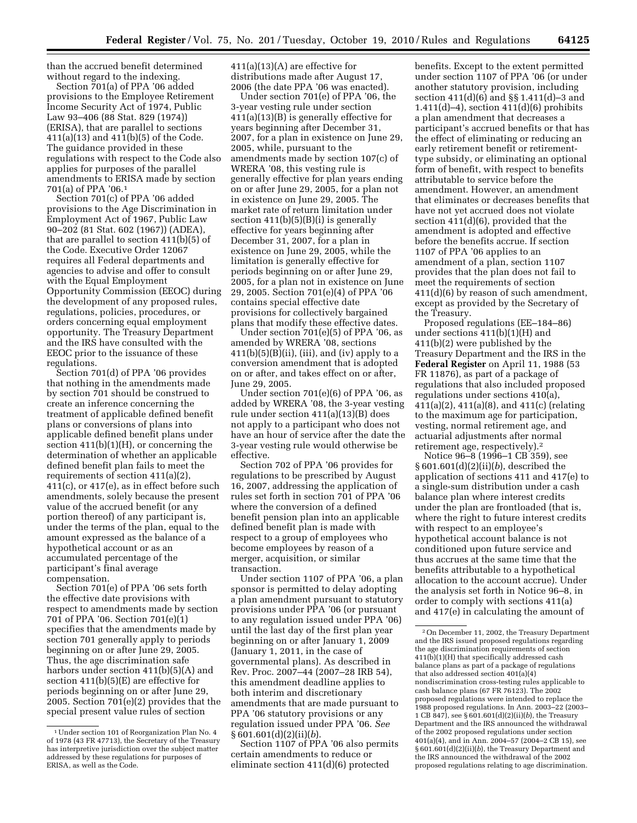than the accrued benefit determined without regard to the indexing.

Section 701(a) of PPA '06 added provisions to the Employee Retirement Income Security Act of 1974, Public Law 93–406 (88 Stat. 829 (1974)) (ERISA), that are parallel to sections 411(a)(13) and 411(b)(5) of the Code. The guidance provided in these regulations with respect to the Code also applies for purposes of the parallel amendments to ERISA made by section 701(a) of PPA '06.1

Section 701(c) of PPA '06 added provisions to the Age Discrimination in Employment Act of 1967, Public Law 90–202 (81 Stat. 602 (1967)) (ADEA), that are parallel to section 411(b)(5) of the Code. Executive Order 12067 requires all Federal departments and agencies to advise and offer to consult with the Equal Employment Opportunity Commission (EEOC) during the development of any proposed rules, regulations, policies, procedures, or orders concerning equal employment opportunity. The Treasury Department and the IRS have consulted with the EEOC prior to the issuance of these regulations.

Section 701(d) of PPA '06 provides that nothing in the amendments made by section 701 should be construed to create an inference concerning the treatment of applicable defined benefit plans or conversions of plans into applicable defined benefit plans under section  $411(b)(1)(H)$ , or concerning the determination of whether an applicable defined benefit plan fails to meet the requirements of section 411(a)(2), 411(c), or 417(e), as in effect before such amendments, solely because the present value of the accrued benefit (or any portion thereof) of any participant is, under the terms of the plan, equal to the amount expressed as the balance of a hypothetical account or as an accumulated percentage of the participant's final average compensation.

Section 701(e) of PPA '06 sets forth the effective date provisions with respect to amendments made by section 701 of PPA '06. Section 701(e)(1) specifies that the amendments made by section 701 generally apply to periods beginning on or after June 29, 2005. Thus, the age discrimination safe harbors under section 411(b)(5)(A) and section 411(b)(5)(E) are effective for periods beginning on or after June 29, 2005. Section 701(e)(2) provides that the special present value rules of section

411(a)(13)(A) are effective for distributions made after August 17, 2006 (the date PPA '06 was enacted).

Under section 701(e) of PPA '06, the 3-year vesting rule under section 411(a)(13)(B) is generally effective for years beginning after December 31, 2007, for a plan in existence on June 29, 2005, while, pursuant to the amendments made by section 107(c) of WRERA '08, this vesting rule is generally effective for plan years ending on or after June 29, 2005, for a plan not in existence on June 29, 2005. The market rate of return limitation under section  $411(b)(5)(B)(i)$  is generally effective for years beginning after December 31, 2007, for a plan in existence on June 29, 2005, while the limitation is generally effective for periods beginning on or after June 29, 2005, for a plan not in existence on June 29, 2005. Section 701(e)(4) of PPA '06 contains special effective date provisions for collectively bargained plans that modify these effective dates.

Under section 701(e)(5) of PPA '06, as amended by WRERA '08, sections  $411(b)(5)(B)(ii)$ , (iii), and (iv) apply to a conversion amendment that is adopted on or after, and takes effect on or after, June 29, 2005.

Under section  $701(e)(6)$  of PPA '06, as added by WRERA '08, the 3-year vesting rule under section 411(a)(13)(B) does not apply to a participant who does not have an hour of service after the date the 3-year vesting rule would otherwise be effective.

Section 702 of PPA '06 provides for regulations to be prescribed by August 16, 2007, addressing the application of rules set forth in section 701 of PPA '06 where the conversion of a defined benefit pension plan into an applicable defined benefit plan is made with respect to a group of employees who become employees by reason of a merger, acquisition, or similar transaction.

Under section 1107 of PPA '06, a plan sponsor is permitted to delay adopting a plan amendment pursuant to statutory provisions under PPA '06 (or pursuant to any regulation issued under PPA '06) until the last day of the first plan year beginning on or after January 1, 2009 (January 1, 2011, in the case of governmental plans). As described in Rev. Proc. 2007–44 (2007–28 IRB 54), this amendment deadline applies to both interim and discretionary amendments that are made pursuant to PPA '06 statutory provisions or any regulation issued under PPA '06. *See*  § 601.601(d)(2)(ii)(*b*).

Section 1107 of PPA '06 also permits certain amendments to reduce or eliminate section 411(d)(6) protected

benefits. Except to the extent permitted under section 1107 of PPA '06 (or under another statutory provision, including section 411(d)(6) and §§ 1.411(d)–3 and 1.411(d)–4), section 411(d)(6) prohibits a plan amendment that decreases a participant's accrued benefits or that has the effect of eliminating or reducing an early retirement benefit or retirementtype subsidy, or eliminating an optional form of benefit, with respect to benefits attributable to service before the amendment. However, an amendment that eliminates or decreases benefits that have not yet accrued does not violate section 411(d)(6), provided that the amendment is adopted and effective before the benefits accrue. If section 1107 of PPA '06 applies to an amendment of a plan, section 1107 provides that the plan does not fail to meet the requirements of section 411(d)(6) by reason of such amendment, except as provided by the Secretary of the Treasury.

Proposed regulations (EE–184–86) under sections 411(b)(1)(H) and 411(b)(2) were published by the Treasury Department and the IRS in the **Federal Register** on April 11, 1988 (53 FR 11876), as part of a package of regulations that also included proposed regulations under sections 410(a), 411(a)(2), 411(a)(8), and 411(c) (relating to the maximum age for participation, vesting, normal retirement age, and actuarial adjustments after normal retirement age, respectively).2

Notice 96–8 (1996–1 CB 359), see § 601.601(d)(2)(ii)(*b*), described the application of sections 411 and 417(e) to a single-sum distribution under a cash balance plan where interest credits under the plan are frontloaded (that is, where the right to future interest credits with respect to an employee's hypothetical account balance is not conditioned upon future service and thus accrues at the same time that the benefits attributable to a hypothetical allocation to the account accrue). Under the analysis set forth in Notice 96–8, in order to comply with sections 411(a) and 417(e) in calculating the amount of

<sup>1</sup>Under section 101 of Reorganization Plan No. 4 of 1978 (43 FR 47713), the Secretary of the Treasury has interpretive jurisdiction over the subject matter addressed by these regulations for purposes of ERISA, as well as the Code.

<sup>2</sup>On December 11, 2002, the Treasury Department and the IRS issued proposed regulations regarding the age discrimination requirements of section 411(b)(1)(H) that specifically addressed cash balance plans as part of a package of regulations that also addressed section 401(a)(4) nondiscrimination cross-testing rules applicable to cash balance plans (67 FR 76123). The  $2002$ proposed regulations were intended to replace the 1988 proposed regulations. In Ann. 2003–22 (2003– 1 CB 847), see § 601.601(d)(2)(ii)(*b*), the Treasury Department and the IRS announced the withdrawal of the 2002 proposed regulations under section 401(a)(4), and in Ann. 2004–57 (2004–2 CB 15), see § 601.601(d)(2)(ii)(*b*), the Treasury Department and the IRS announced the withdrawal of the 2002 proposed regulations relating to age discrimination.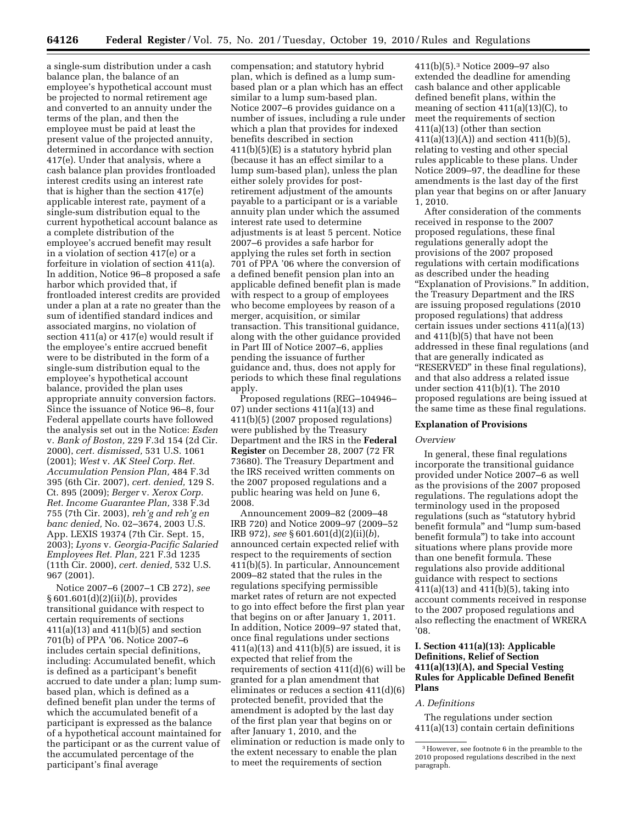a single-sum distribution under a cash balance plan, the balance of an employee's hypothetical account must be projected to normal retirement age and converted to an annuity under the terms of the plan, and then the employee must be paid at least the present value of the projected annuity, determined in accordance with section 417(e). Under that analysis, where a cash balance plan provides frontloaded interest credits using an interest rate that is higher than the section 417(e) applicable interest rate, payment of a single-sum distribution equal to the current hypothetical account balance as a complete distribution of the employee's accrued benefit may result in a violation of section 417(e) or a forfeiture in violation of section 411(a). In addition, Notice 96–8 proposed a safe harbor which provided that, if frontloaded interest credits are provided under a plan at a rate no greater than the sum of identified standard indices and associated margins, no violation of section 411(a) or 417(e) would result if the employee's entire accrued benefit were to be distributed in the form of a single-sum distribution equal to the employee's hypothetical account balance, provided the plan uses appropriate annuity conversion factors. Since the issuance of Notice 96–8, four Federal appellate courts have followed the analysis set out in the Notice: *Esden*  v. *Bank of Boston,* 229 F.3d 154 (2d Cir. 2000), *cert. dismissed,* 531 U.S. 1061 (2001); *West* v. *AK Steel Corp. Ret. Accumulation Pension Plan,* 484 F.3d 395 (6th Cir. 2007), *cert. denied,* 129 S. Ct. 895 (2009); *Berger* v. *Xerox Corp. Ret. Income Guarantee Plan,* 338 F.3d 755 (7th Cir. 2003), *reh'g and reh'g en banc denied,* No. 02–3674, 2003 U.S. App. LEXIS 19374 (7th Cir. Sept. 15, 2003); *Lyons* v. *Georgia-Pacific Salaried Employees Ret. Plan,* 221 F.3d 1235 (11th Cir. 2000), *cert. denied,* 532 U.S. 967 (2001).

Notice 2007–6 (2007–1 CB 272), *see*  § 601.601(d)(2)(ii)(*b*), provides transitional guidance with respect to certain requirements of sections 411(a)(13) and 411(b)(5) and section 701(b) of PPA '06. Notice 2007–6 includes certain special definitions, including: Accumulated benefit, which is defined as a participant's benefit accrued to date under a plan; lump sumbased plan, which is defined as a defined benefit plan under the terms of which the accumulated benefit of a participant is expressed as the balance of a hypothetical account maintained for the participant or as the current value of the accumulated percentage of the participant's final average

compensation; and statutory hybrid plan, which is defined as a lump sumbased plan or a plan which has an effect similar to a lump sum-based plan. Notice 2007–6 provides guidance on a number of issues, including a rule under which a plan that provides for indexed benefits described in section 411(b)(5)(E) is a statutory hybrid plan (because it has an effect similar to a lump sum-based plan), unless the plan either solely provides for postretirement adjustment of the amounts payable to a participant or is a variable annuity plan under which the assumed interest rate used to determine adjustments is at least 5 percent. Notice 2007–6 provides a safe harbor for applying the rules set forth in section 701 of PPA '06 where the conversion of a defined benefit pension plan into an applicable defined benefit plan is made with respect to a group of employees who become employees by reason of a merger, acquisition, or similar transaction. This transitional guidance, along with the other guidance provided in Part III of Notice 2007–6, applies pending the issuance of further guidance and, thus, does not apply for periods to which these final regulations apply.

Proposed regulations (REG–104946– 07) under sections 411(a)(13) and 411(b)(5) (2007 proposed regulations) were published by the Treasury Department and the IRS in the **Federal Register** on December 28, 2007 (72 FR 73680). The Treasury Department and the IRS received written comments on the 2007 proposed regulations and a public hearing was held on June 6, 2008.

Announcement 2009–82 (2009–48 IRB 720) and Notice 2009–97 (2009–52 IRB 972), *see* § 601.601(d)(2)(ii)(*b*), announced certain expected relief with respect to the requirements of section 411(b)(5). In particular, Announcement 2009–82 stated that the rules in the regulations specifying permissible market rates of return are not expected to go into effect before the first plan year that begins on or after January 1, 2011. In addition, Notice 2009–97 stated that, once final regulations under sections 411(a)(13) and 411(b)(5) are issued, it is expected that relief from the requirements of section 411(d)(6) will be granted for a plan amendment that eliminates or reduces a section 411(d)(6) protected benefit, provided that the amendment is adopted by the last day of the first plan year that begins on or after January 1, 2010, and the elimination or reduction is made only to the extent necessary to enable the plan to meet the requirements of section

411(b)(5).3 Notice 2009–97 also extended the deadline for amending cash balance and other applicable defined benefit plans, within the meaning of section  $411(a)(13)(C)$ , to meet the requirements of section 411(a)(13) (other than section 411(a)(13)(A)) and section 411(b)(5), relating to vesting and other special rules applicable to these plans. Under Notice 2009–97, the deadline for these amendments is the last day of the first plan year that begins on or after January 1, 2010.

After consideration of the comments received in response to the 2007 proposed regulations, these final regulations generally adopt the provisions of the 2007 proposed regulations with certain modifications as described under the heading ''Explanation of Provisions.'' In addition, the Treasury Department and the IRS are issuing proposed regulations (2010 proposed regulations) that address certain issues under sections 411(a)(13) and 411(b)(5) that have not been addressed in these final regulations (and that are generally indicated as ''RESERVED'' in these final regulations), and that also address a related issue under section 411(b)(1). The 2010 proposed regulations are being issued at the same time as these final regulations.

### **Explanation of Provisions**

#### *Overview*

In general, these final regulations incorporate the transitional guidance provided under Notice 2007–6 as well as the provisions of the 2007 proposed regulations. The regulations adopt the terminology used in the proposed regulations (such as ''statutory hybrid benefit formula'' and ''lump sum-based benefit formula'') to take into account situations where plans provide more than one benefit formula. These regulations also provide additional guidance with respect to sections 411(a)(13) and 411(b)(5), taking into account comments received in response to the 2007 proposed regulations and also reflecting the enactment of WRERA '08.

# **I. Section 411(a)(13): Applicable Definitions, Relief of Section 411(a)(13)(A), and Special Vesting Rules for Applicable Defined Benefit Plans**

#### *A. Definitions*

The regulations under section 411(a)(13) contain certain definitions

<sup>3</sup>However, see footnote 6 in the preamble to the 2010 proposed regulations described in the next paragraph.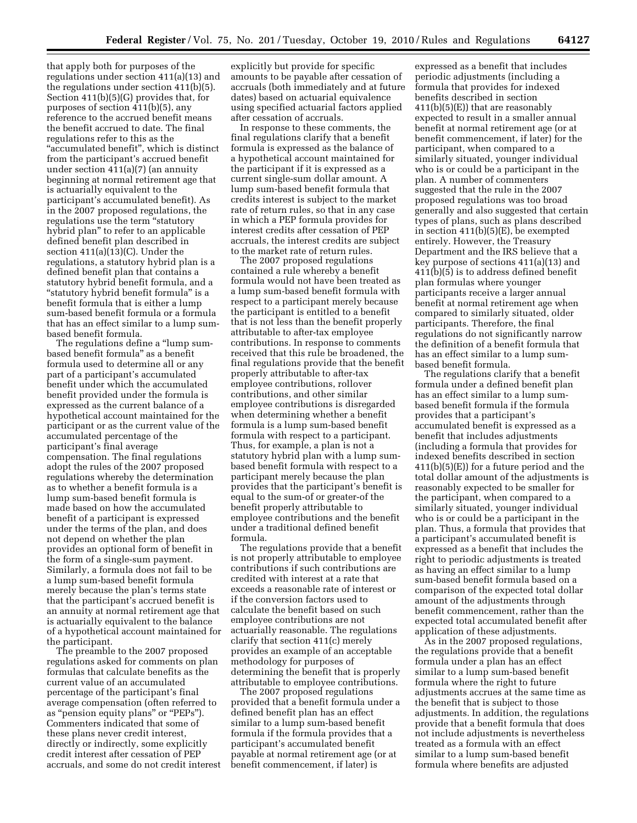that apply both for purposes of the regulations under section 411(a)(13) and the regulations under section 411(b)(5). Section 411(b)(5)(G) provides that, for purposes of section 411(b)(5), any reference to the accrued benefit means the benefit accrued to date. The final regulations refer to this as the "accumulated benefit", which is distinct from the participant's accrued benefit under section 411(a)(7) (an annuity beginning at normal retirement age that is actuarially equivalent to the participant's accumulated benefit). As in the 2007 proposed regulations, the regulations use the term ''statutory hybrid plan'' to refer to an applicable defined benefit plan described in section 411(a)(13)(C). Under the regulations, a statutory hybrid plan is a defined benefit plan that contains a statutory hybrid benefit formula, and a ''statutory hybrid benefit formula'' is a benefit formula that is either a lump sum-based benefit formula or a formula that has an effect similar to a lump sumbased benefit formula.

The regulations define a ''lump sumbased benefit formula'' as a benefit formula used to determine all or any part of a participant's accumulated benefit under which the accumulated benefit provided under the formula is expressed as the current balance of a hypothetical account maintained for the participant or as the current value of the accumulated percentage of the participant's final average compensation. The final regulations adopt the rules of the 2007 proposed regulations whereby the determination as to whether a benefit formula is a lump sum-based benefit formula is made based on how the accumulated benefit of a participant is expressed under the terms of the plan, and does not depend on whether the plan provides an optional form of benefit in the form of a single-sum payment. Similarly, a formula does not fail to be a lump sum-based benefit formula merely because the plan's terms state that the participant's accrued benefit is an annuity at normal retirement age that is actuarially equivalent to the balance of a hypothetical account maintained for the participant.

The preamble to the 2007 proposed regulations asked for comments on plan formulas that calculate benefits as the current value of an accumulated percentage of the participant's final average compensation (often referred to as "pension equity plans" or "PEPs"). Commenters indicated that some of these plans never credit interest, directly or indirectly, some explicitly credit interest after cessation of PEP accruals, and some do not credit interest

explicitly but provide for specific amounts to be payable after cessation of accruals (both immediately and at future dates) based on actuarial equivalence using specified actuarial factors applied after cessation of accruals.

In response to these comments, the final regulations clarify that a benefit formula is expressed as the balance of a hypothetical account maintained for the participant if it is expressed as a current single-sum dollar amount. A lump sum-based benefit formula that credits interest is subject to the market rate of return rules, so that in any case in which a PEP formula provides for interest credits after cessation of PEP accruals, the interest credits are subject to the market rate of return rules.

The 2007 proposed regulations contained a rule whereby a benefit formula would not have been treated as a lump sum-based benefit formula with respect to a participant merely because the participant is entitled to a benefit that is not less than the benefit properly attributable to after-tax employee contributions. In response to comments received that this rule be broadened, the final regulations provide that the benefit properly attributable to after-tax employee contributions, rollover contributions, and other similar employee contributions is disregarded when determining whether a benefit formula is a lump sum-based benefit formula with respect to a participant. Thus, for example, a plan is not a statutory hybrid plan with a lump sumbased benefit formula with respect to a participant merely because the plan provides that the participant's benefit is equal to the sum-of or greater-of the benefit properly attributable to employee contributions and the benefit under a traditional defined benefit formula.

The regulations provide that a benefit is not properly attributable to employee contributions if such contributions are credited with interest at a rate that exceeds a reasonable rate of interest or if the conversion factors used to calculate the benefit based on such employee contributions are not actuarially reasonable. The regulations clarify that section 411(c) merely provides an example of an acceptable methodology for purposes of determining the benefit that is properly attributable to employee contributions.

The 2007 proposed regulations provided that a benefit formula under a defined benefit plan has an effect similar to a lump sum-based benefit formula if the formula provides that a participant's accumulated benefit payable at normal retirement age (or at benefit commencement, if later) is

expressed as a benefit that includes periodic adjustments (including a formula that provides for indexed benefits described in section 411(b)(5)(E)) that are reasonably expected to result in a smaller annual benefit at normal retirement age (or at benefit commencement, if later) for the participant, when compared to a similarly situated, younger individual who is or could be a participant in the plan. A number of commenters suggested that the rule in the 2007 proposed regulations was too broad generally and also suggested that certain types of plans, such as plans described in section 411(b)(5)(E), be exempted entirely. However, the Treasury Department and the IRS believe that a key purpose of sections 411(a)(13) and 411(b)(5) is to address defined benefit plan formulas where younger participants receive a larger annual benefit at normal retirement age when compared to similarly situated, older participants. Therefore, the final regulations do not significantly narrow the definition of a benefit formula that has an effect similar to a lump sumbased benefit formula.

The regulations clarify that a benefit formula under a defined benefit plan has an effect similar to a lump sumbased benefit formula if the formula provides that a participant's accumulated benefit is expressed as a benefit that includes adjustments (including a formula that provides for indexed benefits described in section 411(b)(5)(E)) for a future period and the total dollar amount of the adjustments is reasonably expected to be smaller for the participant, when compared to a similarly situated, younger individual who is or could be a participant in the plan. Thus, a formula that provides that a participant's accumulated benefit is expressed as a benefit that includes the right to periodic adjustments is treated as having an effect similar to a lump sum-based benefit formula based on a comparison of the expected total dollar amount of the adjustments through benefit commencement, rather than the expected total accumulated benefit after application of these adjustments.

As in the 2007 proposed regulations, the regulations provide that a benefit formula under a plan has an effect similar to a lump sum-based benefit formula where the right to future adjustments accrues at the same time as the benefit that is subject to those adjustments. In addition, the regulations provide that a benefit formula that does not include adjustments is nevertheless treated as a formula with an effect similar to a lump sum-based benefit formula where benefits are adjusted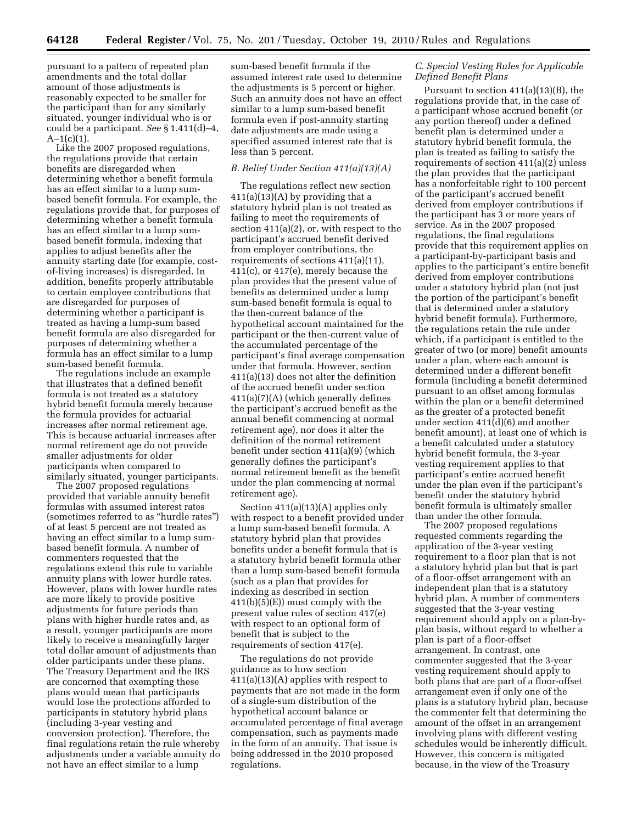pursuant to a pattern of repeated plan amendments and the total dollar amount of those adjustments is reasonably expected to be smaller for the participant than for any similarly situated, younger individual who is or could be a participant. *See* § 1.411(d)–4,  $A-1(c)(1)$ .

Like the 2007 proposed regulations, the regulations provide that certain benefits are disregarded when determining whether a benefit formula has an effect similar to a lump sumbased benefit formula. For example, the regulations provide that, for purposes of determining whether a benefit formula has an effect similar to a lump sumbased benefit formula, indexing that applies to adjust benefits after the annuity starting date (for example, costof-living increases) is disregarded. In addition, benefits properly attributable to certain employee contributions that are disregarded for purposes of determining whether a participant is treated as having a lump-sum based benefit formula are also disregarded for purposes of determining whether a formula has an effect similar to a lump sum-based benefit formula.

The regulations include an example that illustrates that a defined benefit formula is not treated as a statutory hybrid benefit formula merely because the formula provides for actuarial increases after normal retirement age. This is because actuarial increases after normal retirement age do not provide smaller adjustments for older participants when compared to similarly situated, younger participants.

The 2007 proposed regulations provided that variable annuity benefit formulas with assumed interest rates (sometimes referred to as ''hurdle rates'') of at least 5 percent are not treated as having an effect similar to a lump sumbased benefit formula. A number of commenters requested that the regulations extend this rule to variable annuity plans with lower hurdle rates. However, plans with lower hurdle rates are more likely to provide positive adjustments for future periods than plans with higher hurdle rates and, as a result, younger participants are more likely to receive a meaningfully larger total dollar amount of adjustments than older participants under these plans. The Treasury Department and the IRS are concerned that exempting these plans would mean that participants would lose the protections afforded to participants in statutory hybrid plans (including 3-year vesting and conversion protection). Therefore, the final regulations retain the rule whereby adjustments under a variable annuity do not have an effect similar to a lump

sum-based benefit formula if the assumed interest rate used to determine the adjustments is 5 percent or higher. Such an annuity does not have an effect similar to a lump sum-based benefit formula even if post-annuity starting date adjustments are made using a specified assumed interest rate that is less than 5 percent.

# *B. Relief Under Section 411(a)(13)(A)*

The regulations reflect new section  $411(a)(13)(A)$  by providing that a statutory hybrid plan is not treated as failing to meet the requirements of section 411(a)(2), or, with respect to the participant's accrued benefit derived from employer contributions, the requirements of sections 411(a)(11), 411(c), or 417(e), merely because the plan provides that the present value of benefits as determined under a lump sum-based benefit formula is equal to the then-current balance of the hypothetical account maintained for the participant or the then-current value of the accumulated percentage of the participant's final average compensation under that formula. However, section 411(a)(13) does not alter the definition of the accrued benefit under section 411(a)(7)(A) (which generally defines the participant's accrued benefit as the annual benefit commencing at normal retirement age), nor does it alter the definition of the normal retirement benefit under section 411(a)(9) (which generally defines the participant's normal retirement benefit as the benefit under the plan commencing at normal retirement age).

Section 411(a)(13)(A) applies only with respect to a benefit provided under a lump sum-based benefit formula. A statutory hybrid plan that provides benefits under a benefit formula that is a statutory hybrid benefit formula other than a lump sum-based benefit formula (such as a plan that provides for indexing as described in section 411(b)(5)(E)) must comply with the present value rules of section 417(e) with respect to an optional form of benefit that is subject to the requirements of section 417(e).

The regulations do not provide guidance as to how section 411(a)(13)(A) applies with respect to payments that are not made in the form of a single-sum distribution of the hypothetical account balance or accumulated percentage of final average compensation, such as payments made in the form of an annuity. That issue is being addressed in the 2010 proposed regulations.

### *C. Special Vesting Rules for Applicable Defined Benefit Plans*

Pursuant to section 411(a)(13)(B), the regulations provide that, in the case of a participant whose accrued benefit (or any portion thereof) under a defined benefit plan is determined under a statutory hybrid benefit formula, the plan is treated as failing to satisfy the requirements of section 411(a)(2) unless the plan provides that the participant has a nonforfeitable right to 100 percent of the participant's accrued benefit derived from employer contributions if the participant has 3 or more years of service. As in the 2007 proposed regulations, the final regulations provide that this requirement applies on a participant-by-participant basis and applies to the participant's entire benefit derived from employer contributions under a statutory hybrid plan (not just the portion of the participant's benefit that is determined under a statutory hybrid benefit formula). Furthermore, the regulations retain the rule under which, if a participant is entitled to the greater of two (or more) benefit amounts under a plan, where each amount is determined under a different benefit formula (including a benefit determined pursuant to an offset among formulas within the plan or a benefit determined as the greater of a protected benefit under section 411(d)(6) and another benefit amount), at least one of which is a benefit calculated under a statutory hybrid benefit formula, the 3-year vesting requirement applies to that participant's entire accrued benefit under the plan even if the participant's benefit under the statutory hybrid benefit formula is ultimately smaller than under the other formula.

The 2007 proposed regulations requested comments regarding the application of the 3-year vesting requirement to a floor plan that is not a statutory hybrid plan but that is part of a floor-offset arrangement with an independent plan that is a statutory hybrid plan. A number of commenters suggested that the 3-year vesting requirement should apply on a plan-byplan basis, without regard to whether a plan is part of a floor-offset arrangement. In contrast, one commenter suggested that the 3-year vesting requirement should apply to both plans that are part of a floor-offset arrangement even if only one of the plans is a statutory hybrid plan, because the commenter felt that determining the amount of the offset in an arrangement involving plans with different vesting schedules would be inherently difficult. However, this concern is mitigated because, in the view of the Treasury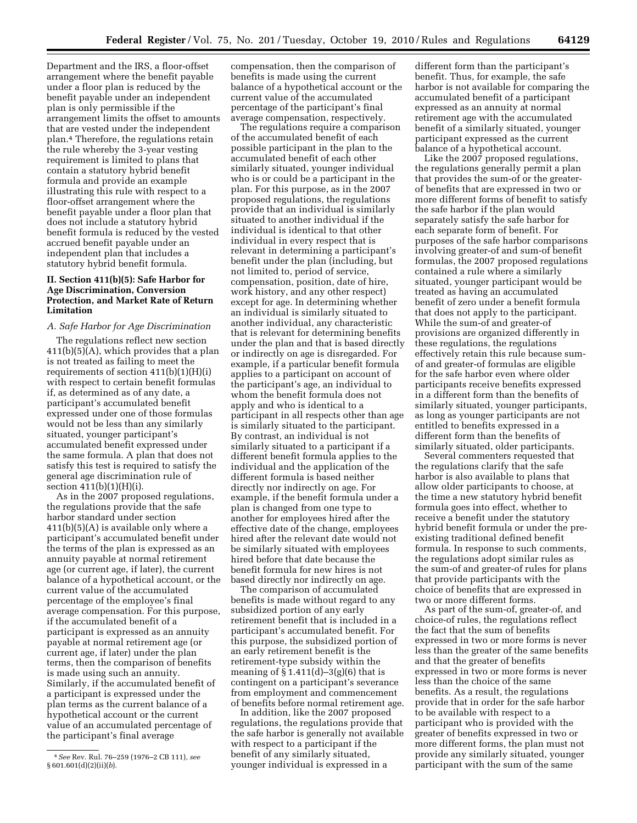Department and the IRS, a floor-offset arrangement where the benefit payable under a floor plan is reduced by the benefit payable under an independent plan is only permissible if the arrangement limits the offset to amounts that are vested under the independent plan.4 Therefore, the regulations retain the rule whereby the 3-year vesting requirement is limited to plans that contain a statutory hybrid benefit formula and provide an example illustrating this rule with respect to a floor-offset arrangement where the benefit payable under a floor plan that does not include a statutory hybrid benefit formula is reduced by the vested accrued benefit payable under an independent plan that includes a statutory hybrid benefit formula.

# **II. Section 411(b)(5): Safe Harbor for Age Discrimination, Conversion Protection, and Market Rate of Return Limitation**

# *A. Safe Harbor for Age Discrimination*

The regulations reflect new section 411(b)(5)(A), which provides that a plan is not treated as failing to meet the requirements of section  $411(b)(1)(H)(i)$ with respect to certain benefit formulas if, as determined as of any date, a participant's accumulated benefit expressed under one of those formulas would not be less than any similarly situated, younger participant's accumulated benefit expressed under the same formula. A plan that does not satisfy this test is required to satisfy the general age discrimination rule of section  $411(b)(1)(H)(i)$ .

As in the 2007 proposed regulations, the regulations provide that the safe harbor standard under section 411(b)(5)(A) is available only where a participant's accumulated benefit under the terms of the plan is expressed as an annuity payable at normal retirement age (or current age, if later), the current balance of a hypothetical account, or the current value of the accumulated percentage of the employee's final average compensation. For this purpose, if the accumulated benefit of a participant is expressed as an annuity payable at normal retirement age (or current age, if later) under the plan terms, then the comparison of benefits is made using such an annuity. Similarly, if the accumulated benefit of a participant is expressed under the plan terms as the current balance of a hypothetical account or the current value of an accumulated percentage of the participant's final average

compensation, then the comparison of benefits is made using the current balance of a hypothetical account or the current value of the accumulated percentage of the participant's final average compensation, respectively.

The regulations require a comparison of the accumulated benefit of each possible participant in the plan to the accumulated benefit of each other similarly situated, younger individual who is or could be a participant in the plan. For this purpose, as in the 2007 proposed regulations, the regulations provide that an individual is similarly situated to another individual if the individual is identical to that other individual in every respect that is relevant in determining a participant's benefit under the plan (including, but not limited to, period of service, compensation, position, date of hire, work history, and any other respect) except for age. In determining whether an individual is similarly situated to another individual, any characteristic that is relevant for determining benefits under the plan and that is based directly or indirectly on age is disregarded. For example, if a particular benefit formula applies to a participant on account of the participant's age, an individual to whom the benefit formula does not apply and who is identical to a participant in all respects other than age is similarly situated to the participant. By contrast, an individual is not similarly situated to a participant if a different benefit formula applies to the individual and the application of the different formula is based neither directly nor indirectly on age. For example, if the benefit formula under a plan is changed from one type to another for employees hired after the effective date of the change, employees hired after the relevant date would not be similarly situated with employees hired before that date because the benefit formula for new hires is not based directly nor indirectly on age.

The comparison of accumulated benefits is made without regard to any subsidized portion of any early retirement benefit that is included in a participant's accumulated benefit. For this purpose, the subsidized portion of an early retirement benefit is the retirement-type subsidy within the meaning of  $\S 1.411(d) - 3(g)(6)$  that is contingent on a participant's severance from employment and commencement of benefits before normal retirement age.

In addition, like the 2007 proposed regulations, the regulations provide that the safe harbor is generally not available with respect to a participant if the benefit of any similarly situated, younger individual is expressed in a

different form than the participant's benefit. Thus, for example, the safe harbor is not available for comparing the accumulated benefit of a participant expressed as an annuity at normal retirement age with the accumulated benefit of a similarly situated, younger participant expressed as the current balance of a hypothetical account.

Like the 2007 proposed regulations, the regulations generally permit a plan that provides the sum-of or the greaterof benefits that are expressed in two or more different forms of benefit to satisfy the safe harbor if the plan would separately satisfy the safe harbor for each separate form of benefit. For purposes of the safe harbor comparisons involving greater-of and sum-of benefit formulas, the 2007 proposed regulations contained a rule where a similarly situated, younger participant would be treated as having an accumulated benefit of zero under a benefit formula that does not apply to the participant. While the sum-of and greater-of provisions are organized differently in these regulations, the regulations effectively retain this rule because sumof and greater-of formulas are eligible for the safe harbor even where older participants receive benefits expressed in a different form than the benefits of similarly situated, younger participants, as long as younger participants are not entitled to benefits expressed in a different form than the benefits of similarly situated, older participants.

Several commenters requested that the regulations clarify that the safe harbor is also available to plans that allow older participants to choose, at the time a new statutory hybrid benefit formula goes into effect, whether to receive a benefit under the statutory hybrid benefit formula or under the preexisting traditional defined benefit formula. In response to such comments, the regulations adopt similar rules as the sum-of and greater-of rules for plans that provide participants with the choice of benefits that are expressed in two or more different forms.

As part of the sum-of, greater-of, and choice-of rules, the regulations reflect the fact that the sum of benefits expressed in two or more forms is never less than the greater of the same benefits and that the greater of benefits expressed in two or more forms is never less than the choice of the same benefits. As a result, the regulations provide that in order for the safe harbor to be available with respect to a participant who is provided with the greater of benefits expressed in two or more different forms, the plan must not provide any similarly situated, younger participant with the sum of the same

<sup>4</sup>*See* Rev. Rul. 76–259 (1976–2 CB 111), *see*  § 601.601(d)(2)(ii)(*b*).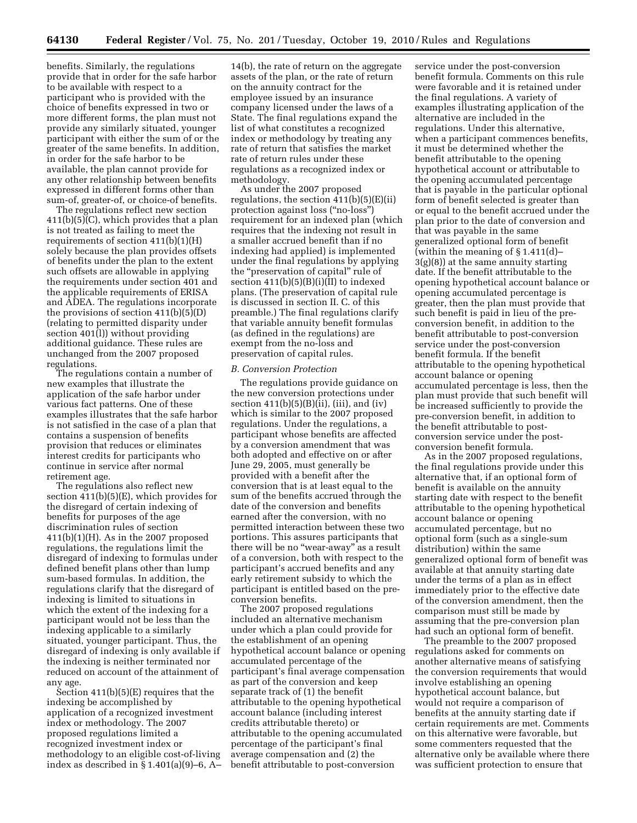benefits. Similarly, the regulations provide that in order for the safe harbor to be available with respect to a participant who is provided with the choice of benefits expressed in two or more different forms, the plan must not provide any similarly situated, younger participant with either the sum of or the greater of the same benefits. In addition, in order for the safe harbor to be available, the plan cannot provide for any other relationship between benefits expressed in different forms other than sum-of, greater-of, or choice-of benefits.

The regulations reflect new section 411(b)(5)(C), which provides that a plan is not treated as failing to meet the requirements of section 411(b)(1)(H) solely because the plan provides offsets of benefits under the plan to the extent such offsets are allowable in applying the requirements under section 401 and the applicable requirements of ERISA and ADEA. The regulations incorporate the provisions of section  $411(b)(5)(D)$ (relating to permitted disparity under section 401(l)) without providing additional guidance. These rules are unchanged from the 2007 proposed regulations.

The regulations contain a number of new examples that illustrate the application of the safe harbor under various fact patterns. One of these examples illustrates that the safe harbor is not satisfied in the case of a plan that contains a suspension of benefits provision that reduces or eliminates interest credits for participants who continue in service after normal retirement age.

The regulations also reflect new section 411(b)(5)(E), which provides for the disregard of certain indexing of benefits for purposes of the age discrimination rules of section  $411(b)(1)(H)$ . As in the 2007 proposed regulations, the regulations limit the disregard of indexing to formulas under defined benefit plans other than lump sum-based formulas. In addition, the regulations clarify that the disregard of indexing is limited to situations in which the extent of the indexing for a participant would not be less than the indexing applicable to a similarly situated, younger participant. Thus, the disregard of indexing is only available if the indexing is neither terminated nor reduced on account of the attainment of any age.

Section 411(b)(5)(E) requires that the indexing be accomplished by application of a recognized investment index or methodology. The 2007 proposed regulations limited a recognized investment index or methodology to an eligible cost-of-living index as described in  $\S 1.401(a)(9)-6$ , A-

14(b), the rate of return on the aggregate assets of the plan, or the rate of return on the annuity contract for the employee issued by an insurance company licensed under the laws of a State. The final regulations expand the list of what constitutes a recognized index or methodology by treating any rate of return that satisfies the market rate of return rules under these regulations as a recognized index or methodology.

As under the 2007 proposed regulations, the section  $411(b)(5)(E)(ii)$ protection against loss (''no-loss'') requirement for an indexed plan (which requires that the indexing not result in a smaller accrued benefit than if no indexing had applied) is implemented under the final regulations by applying the ''preservation of capital'' rule of section 411(b)(5)(B)(i)(II) to indexed plans. (The preservation of capital rule is discussed in section II. C. of this preamble.) The final regulations clarify that variable annuity benefit formulas (as defined in the regulations) are exempt from the no-loss and preservation of capital rules.

#### *B. Conversion Protection*

The regulations provide guidance on the new conversion protections under section  $411(b)(5)(B)(ii)$ , (iii), and (iv) which is similar to the 2007 proposed regulations. Under the regulations, a participant whose benefits are affected by a conversion amendment that was both adopted and effective on or after June 29, 2005, must generally be provided with a benefit after the conversion that is at least equal to the sum of the benefits accrued through the date of the conversion and benefits earned after the conversion, with no permitted interaction between these two portions. This assures participants that there will be no "wear-away" as a result of a conversion, both with respect to the participant's accrued benefits and any early retirement subsidy to which the participant is entitled based on the preconversion benefits.

The 2007 proposed regulations included an alternative mechanism under which a plan could provide for the establishment of an opening hypothetical account balance or opening accumulated percentage of the participant's final average compensation as part of the conversion and keep separate track of (1) the benefit attributable to the opening hypothetical account balance (including interest credits attributable thereto) or attributable to the opening accumulated percentage of the participant's final average compensation and (2) the benefit attributable to post-conversion

service under the post-conversion benefit formula. Comments on this rule were favorable and it is retained under the final regulations. A variety of examples illustrating application of the alternative are included in the regulations. Under this alternative, when a participant commences benefits, it must be determined whether the benefit attributable to the opening hypothetical account or attributable to the opening accumulated percentage that is payable in the particular optional form of benefit selected is greater than or equal to the benefit accrued under the plan prior to the date of conversion and that was payable in the same generalized optional form of benefit (within the meaning of § 1.411(d)– 3(g)(8)) at the same annuity starting date. If the benefit attributable to the opening hypothetical account balance or opening accumulated percentage is greater, then the plan must provide that such benefit is paid in lieu of the preconversion benefit, in addition to the benefit attributable to post-conversion service under the post-conversion benefit formula. If the benefit attributable to the opening hypothetical account balance or opening accumulated percentage is less, then the plan must provide that such benefit will be increased sufficiently to provide the pre-conversion benefit, in addition to the benefit attributable to postconversion service under the postconversion benefit formula.

As in the 2007 proposed regulations, the final regulations provide under this alternative that, if an optional form of benefit is available on the annuity starting date with respect to the benefit attributable to the opening hypothetical account balance or opening accumulated percentage, but no optional form (such as a single-sum distribution) within the same generalized optional form of benefit was available at that annuity starting date under the terms of a plan as in effect immediately prior to the effective date of the conversion amendment, then the comparison must still be made by assuming that the pre-conversion plan had such an optional form of benefit.

The preamble to the 2007 proposed regulations asked for comments on another alternative means of satisfying the conversion requirements that would involve establishing an opening hypothetical account balance, but would not require a comparison of benefits at the annuity starting date if certain requirements are met. Comments on this alternative were favorable, but some commenters requested that the alternative only be available where there was sufficient protection to ensure that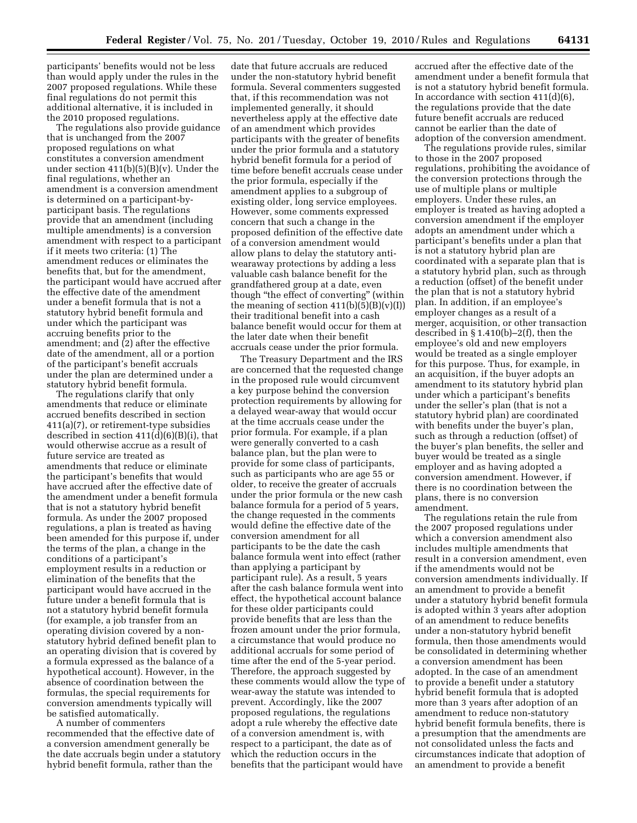participants' benefits would not be less than would apply under the rules in the 2007 proposed regulations. While these final regulations do not permit this additional alternative, it is included in the 2010 proposed regulations.

The regulations also provide guidance that is unchanged from the 2007 proposed regulations on what constitutes a conversion amendment under section  $411(b)(5)(B)(v)$ . Under the final regulations, whether an amendment is a conversion amendment is determined on a participant-byparticipant basis. The regulations provide that an amendment (including multiple amendments) is a conversion amendment with respect to a participant if it meets two criteria: (1) The amendment reduces or eliminates the benefits that, but for the amendment, the participant would have accrued after the effective date of the amendment under a benefit formula that is not a statutory hybrid benefit formula and under which the participant was accruing benefits prior to the amendment; and (2) after the effective date of the amendment, all or a portion of the participant's benefit accruals under the plan are determined under a statutory hybrid benefit formula.

The regulations clarify that only amendments that reduce or eliminate accrued benefits described in section 411(a)(7), or retirement-type subsidies described in section 411(d)(6)(B)(i), that would otherwise accrue as a result of future service are treated as amendments that reduce or eliminate the participant's benefits that would have accrued after the effective date of the amendment under a benefit formula that is not a statutory hybrid benefit formula. As under the 2007 proposed regulations, a plan is treated as having been amended for this purpose if, under the terms of the plan, a change in the conditions of a participant's employment results in a reduction or elimination of the benefits that the participant would have accrued in the future under a benefit formula that is not a statutory hybrid benefit formula (for example, a job transfer from an operating division covered by a nonstatutory hybrid defined benefit plan to an operating division that is covered by a formula expressed as the balance of a hypothetical account). However, in the absence of coordination between the formulas, the special requirements for conversion amendments typically will be satisfied automatically.

A number of commenters recommended that the effective date of a conversion amendment generally be the date accruals begin under a statutory hybrid benefit formula, rather than the

date that future accruals are reduced under the non-statutory hybrid benefit formula. Several commenters suggested that, if this recommendation was not implemented generally, it should nevertheless apply at the effective date of an amendment which provides participants with the greater of benefits under the prior formula and a statutory hybrid benefit formula for a period of time before benefit accruals cease under the prior formula, especially if the amendment applies to a subgroup of existing older, long service employees. However, some comments expressed concern that such a change in the proposed definition of the effective date of a conversion amendment would allow plans to delay the statutory antiwearaway protections by adding a less valuable cash balance benefit for the grandfathered group at a date, even though ''the effect of converting'' (within the meaning of section  $411(b)(5)(B)(v)(I)$ their traditional benefit into a cash balance benefit would occur for them at the later date when their benefit accruals cease under the prior formula.

The Treasury Department and the IRS are concerned that the requested change in the proposed rule would circumvent a key purpose behind the conversion protection requirements by allowing for a delayed wear-away that would occur at the time accruals cease under the prior formula. For example, if a plan were generally converted to a cash balance plan, but the plan were to provide for some class of participants, such as participants who are age 55 or older, to receive the greater of accruals under the prior formula or the new cash balance formula for a period of 5 years, the change requested in the comments would define the effective date of the conversion amendment for all participants to be the date the cash balance formula went into effect (rather than applying a participant by participant rule). As a result, 5 years after the cash balance formula went into effect, the hypothetical account balance for these older participants could provide benefits that are less than the frozen amount under the prior formula, a circumstance that would produce no additional accruals for some period of time after the end of the 5-year period. Therefore, the approach suggested by these comments would allow the type of wear-away the statute was intended to prevent. Accordingly, like the 2007 proposed regulations, the regulations adopt a rule whereby the effective date of a conversion amendment is, with respect to a participant, the date as of which the reduction occurs in the benefits that the participant would have

accrued after the effective date of the amendment under a benefit formula that is not a statutory hybrid benefit formula. In accordance with section 411(d)(6), the regulations provide that the date future benefit accruals are reduced cannot be earlier than the date of adoption of the conversion amendment.

The regulations provide rules, similar to those in the 2007 proposed regulations, prohibiting the avoidance of the conversion protections through the use of multiple plans or multiple employers. Under these rules, an employer is treated as having adopted a conversion amendment if the employer adopts an amendment under which a participant's benefits under a plan that is not a statutory hybrid plan are coordinated with a separate plan that is a statutory hybrid plan, such as through a reduction (offset) of the benefit under the plan that is not a statutory hybrid plan. In addition, if an employee's employer changes as a result of a merger, acquisition, or other transaction described in § 1.410(b)–2(f), then the employee's old and new employers would be treated as a single employer for this purpose. Thus, for example, in an acquisition, if the buyer adopts an amendment to its statutory hybrid plan under which a participant's benefits under the seller's plan (that is not a statutory hybrid plan) are coordinated with benefits under the buyer's plan, such as through a reduction (offset) of the buyer's plan benefits, the seller and buyer would be treated as a single employer and as having adopted a conversion amendment. However, if there is no coordination between the plans, there is no conversion amendment.

The regulations retain the rule from the 2007 proposed regulations under which a conversion amendment also includes multiple amendments that result in a conversion amendment, even if the amendments would not be conversion amendments individually. If an amendment to provide a benefit under a statutory hybrid benefit formula is adopted within 3 years after adoption of an amendment to reduce benefits under a non-statutory hybrid benefit formula, then those amendments would be consolidated in determining whether a conversion amendment has been adopted. In the case of an amendment to provide a benefit under a statutory hybrid benefit formula that is adopted more than 3 years after adoption of an amendment to reduce non-statutory hybrid benefit formula benefits, there is a presumption that the amendments are not consolidated unless the facts and circumstances indicate that adoption of an amendment to provide a benefit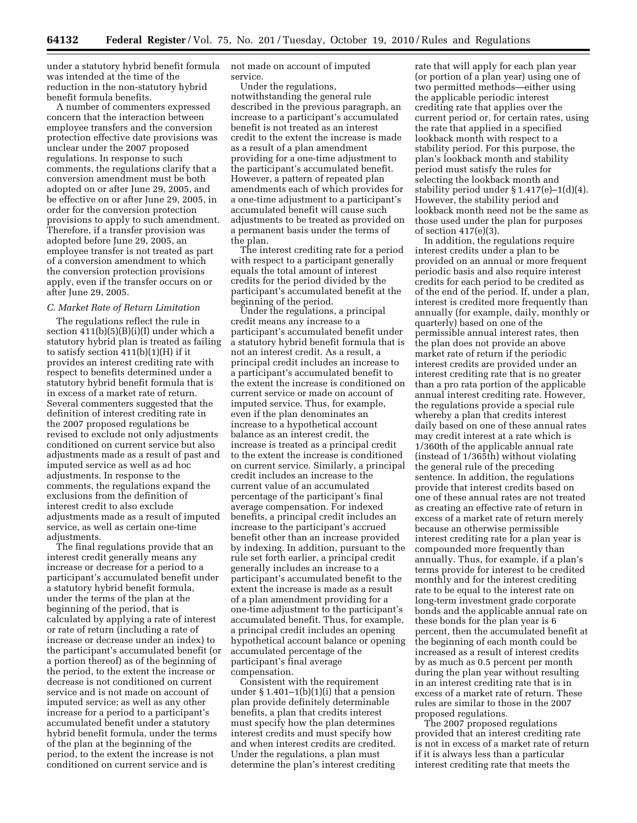under a statutory hybrid benefit formula was intended at the time of the reduction in the non-statutory hybrid benefit formula benefits.

A number of commenters expressed concern that the interaction between employee transfers and the conversion protection effective date provisions was unclear under the 2007 proposed regulations. In response to such comments, the regulations clarify that a conversion amendment must be both adopted on or after June 29, 2005, and be effective on or after June 29, 2005, in order for the conversion protection provisions to apply to such amendment. Therefore, if a transfer provision was adopted before June 29, 2005, an employee transfer is not treated as part of a conversion amendment to which the conversion protection provisions apply, even if the transfer occurs on or after June 29, 2005.

# *C. Market Rate of Return Limitation*

The regulations reflect the rule in section 411(b)(5)(B)(i)(I) under which a statutory hybrid plan is treated as failing to satisfy section  $411(b)(1)(H)$  if it provides an interest crediting rate with respect to benefits determined under a statutory hybrid benefit formula that is in excess of a market rate of return. Several commenters suggested that the definition of interest crediting rate in the 2007 proposed regulations be revised to exclude not only adjustments conditioned on current service but also adjustments made as a result of past and imputed service as well as ad hoc adjustments. In response to the comments, the regulations expand the exclusions from the definition of interest credit to also exclude adjustments made as a result of imputed service, as well as certain one-time adjustments.

The final regulations provide that an interest credit generally means any increase or decrease for a period to a participant's accumulated benefit under a statutory hybrid benefit formula, under the terms of the plan at the beginning of the period, that is calculated by applying a rate of interest or rate of return (including a rate of increase or decrease under an index) to the participant's accumulated benefit (or a portion thereof) as of the beginning of the period, to the extent the increase or decrease is not conditioned on current service and is not made on account of imputed service; as well as any other increase for a period to a participant's accumulated benefit under a statutory hybrid benefit formula, under the terms of the plan at the beginning of the period, to the extent the increase is not conditioned on current service and is

not made on account of imputed service.

Under the regulations, notwithstanding the general rule described in the previous paragraph, an increase to a participant's accumulated benefit is not treated as an interest credit to the extent the increase is made as a result of a plan amendment providing for a one-time adjustment to the participant's accumulated benefit. However, a pattern of repeated plan amendments each of which provides for a one-time adjustment to a participant's accumulated benefit will cause such adjustments to be treated as provided on a permanent basis under the terms of the plan.

The interest crediting rate for a period with respect to a participant generally equals the total amount of interest credits for the period divided by the participant's accumulated benefit at the beginning of the period.

Under the regulations, a principal credit means any increase to a participant's accumulated benefit under a statutory hybrid benefit formula that is not an interest credit. As a result, a principal credit includes an increase to a participant's accumulated benefit to the extent the increase is conditioned on current service or made on account of imputed service. Thus, for example, even if the plan denominates an increase to a hypothetical account balance as an interest credit, the increase is treated as a principal credit to the extent the increase is conditioned on current service. Similarly, a principal credit includes an increase to the current value of an accumulated percentage of the participant's final average compensation. For indexed benefits, a principal credit includes an increase to the participant's accrued benefit other than an increase provided by indexing. In addition, pursuant to the rule set forth earlier, a principal credit generally includes an increase to a participant's accumulated benefit to the extent the increase is made as a result of a plan amendment providing for a one-time adjustment to the participant's accumulated benefit. Thus, for example, a principal credit includes an opening hypothetical account balance or opening accumulated percentage of the participant's final average compensation.

Consistent with the requirement under  $\S 1.401-1(b)(1)(i)$  that a pension plan provide definitely determinable benefits, a plan that credits interest must specify how the plan determines interest credits and must specify how and when interest credits are credited. Under the regulations, a plan must determine the plan's interest crediting

rate that will apply for each plan year (or portion of a plan year) using one of two permitted methods—either using the applicable periodic interest crediting rate that applies over the current period or, for certain rates, using the rate that applied in a specified lookback month with respect to a stability period. For this purpose, the plan's lookback month and stability period must satisfy the rules for selecting the lookback month and stability period under § 1.417(e)–1(d)(4). However, the stability period and lookback month need not be the same as those used under the plan for purposes of section 417(e)(3).

In addition, the regulations require interest credits under a plan to be provided on an annual or more frequent periodic basis and also require interest credits for each period to be credited as of the end of the period. If, under a plan, interest is credited more frequently than annually (for example, daily, monthly or quarterly) based on one of the permissible annual interest rates, then the plan does not provide an above market rate of return if the periodic interest credits are provided under an interest crediting rate that is no greater than a pro rata portion of the applicable annual interest crediting rate. However, the regulations provide a special rule whereby a plan that credits interest daily based on one of these annual rates may credit interest at a rate which is 1/360th of the applicable annual rate (instead of 1/365th) without violating the general rule of the preceding sentence. In addition, the regulations provide that interest credits based on one of these annual rates are not treated as creating an effective rate of return in excess of a market rate of return merely because an otherwise permissible interest crediting rate for a plan year is compounded more frequently than annually. Thus, for example, if a plan's terms provide for interest to be credited monthly and for the interest crediting rate to be equal to the interest rate on long-term investment grade corporate bonds and the applicable annual rate on these bonds for the plan year is 6 percent, then the accumulated benefit at the beginning of each month could be increased as a result of interest credits by as much as 0.5 percent per month during the plan year without resulting in an interest crediting rate that is in excess of a market rate of return. These rules are similar to those in the 2007 proposed regulations.

The 2007 proposed regulations provided that an interest crediting rate is not in excess of a market rate of return if it is always less than a particular interest crediting rate that meets the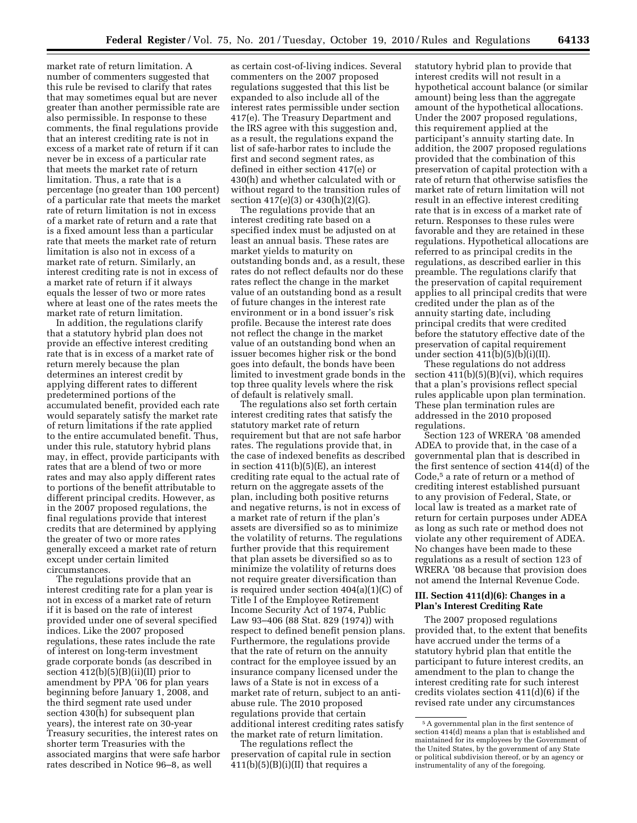market rate of return limitation. A number of commenters suggested that this rule be revised to clarify that rates that may sometimes equal but are never greater than another permissible rate are also permissible. In response to these comments, the final regulations provide that an interest crediting rate is not in excess of a market rate of return if it can never be in excess of a particular rate that meets the market rate of return limitation. Thus, a rate that is a percentage (no greater than 100 percent) of a particular rate that meets the market rate of return limitation is not in excess of a market rate of return and a rate that is a fixed amount less than a particular rate that meets the market rate of return limitation is also not in excess of a market rate of return. Similarly, an interest crediting rate is not in excess of a market rate of return if it always equals the lesser of two or more rates where at least one of the rates meets the market rate of return limitation.

In addition, the regulations clarify that a statutory hybrid plan does not provide an effective interest crediting rate that is in excess of a market rate of return merely because the plan determines an interest credit by applying different rates to different predetermined portions of the accumulated benefit, provided each rate would separately satisfy the market rate of return limitations if the rate applied to the entire accumulated benefit. Thus, under this rule, statutory hybrid plans may, in effect, provide participants with rates that are a blend of two or more rates and may also apply different rates to portions of the benefit attributable to different principal credits. However, as in the 2007 proposed regulations, the final regulations provide that interest credits that are determined by applying the greater of two or more rates generally exceed a market rate of return except under certain limited circumstances.

The regulations provide that an interest crediting rate for a plan year is not in excess of a market rate of return if it is based on the rate of interest provided under one of several specified indices. Like the 2007 proposed regulations, these rates include the rate of interest on long-term investment grade corporate bonds (as described in section  $412(b)(5)(B)(ii)(II)$  prior to amendment by PPA '06 for plan years beginning before January 1, 2008, and the third segment rate used under section 430(h) for subsequent plan years), the interest rate on 30-year Treasury securities, the interest rates on shorter term Treasuries with the associated margins that were safe harbor rates described in Notice 96–8, as well

as certain cost-of-living indices. Several commenters on the 2007 proposed regulations suggested that this list be expanded to also include all of the interest rates permissible under section 417(e). The Treasury Department and the IRS agree with this suggestion and, as a result, the regulations expand the list of safe-harbor rates to include the first and second segment rates, as defined in either section 417(e) or 430(h) and whether calculated with or without regard to the transition rules of section 417(e)(3) or 430(h)(2)(G).

The regulations provide that an interest crediting rate based on a specified index must be adjusted on at least an annual basis. These rates are market yields to maturity on outstanding bonds and, as a result, these rates do not reflect defaults nor do these rates reflect the change in the market value of an outstanding bond as a result of future changes in the interest rate environment or in a bond issuer's risk profile. Because the interest rate does not reflect the change in the market value of an outstanding bond when an issuer becomes higher risk or the bond goes into default, the bonds have been limited to investment grade bonds in the top three quality levels where the risk of default is relatively small.

The regulations also set forth certain interest crediting rates that satisfy the statutory market rate of return requirement but that are not safe harbor rates. The regulations provide that, in the case of indexed benefits as described in section 411(b)(5)(E), an interest crediting rate equal to the actual rate of return on the aggregate assets of the plan, including both positive returns and negative returns, is not in excess of a market rate of return if the plan's assets are diversified so as to minimize the volatility of returns. The regulations further provide that this requirement that plan assets be diversified so as to minimize the volatility of returns does not require greater diversification than is required under section 404(a)(1)(C) of Title I of the Employee Retirement Income Security Act of 1974, Public Law 93–406 (88 Stat. 829 (1974)) with respect to defined benefit pension plans. Furthermore, the regulations provide that the rate of return on the annuity contract for the employee issued by an insurance company licensed under the laws of a State is not in excess of a market rate of return, subject to an antiabuse rule. The 2010 proposed regulations provide that certain additional interest crediting rates satisfy the market rate of return limitation.

The regulations reflect the preservation of capital rule in section  $411(b)(5)(B)(i)(II)$  that requires a

statutory hybrid plan to provide that interest credits will not result in a hypothetical account balance (or similar amount) being less than the aggregate amount of the hypothetical allocations. Under the 2007 proposed regulations, this requirement applied at the participant's annuity starting date. In addition, the 2007 proposed regulations provided that the combination of this preservation of capital protection with a rate of return that otherwise satisfies the market rate of return limitation will not result in an effective interest crediting rate that is in excess of a market rate of return. Responses to these rules were favorable and they are retained in these regulations. Hypothetical allocations are referred to as principal credits in the regulations, as described earlier in this preamble. The regulations clarify that the preservation of capital requirement applies to all principal credits that were credited under the plan as of the annuity starting date, including principal credits that were credited before the statutory effective date of the preservation of capital requirement under section  $411(b)(5)(b)(i)(II)$ .

These regulations do not address section  $411(b)(5)(B)(vi)$ , which requires that a plan's provisions reflect special rules applicable upon plan termination. These plan termination rules are addressed in the 2010 proposed regulations.

Section 123 of WRERA '08 amended ADEA to provide that, in the case of a governmental plan that is described in the first sentence of section 414(d) of the Code,5 a rate of return or a method of crediting interest established pursuant to any provision of Federal, State, or local law is treated as a market rate of return for certain purposes under ADEA as long as such rate or method does not violate any other requirement of ADEA. No changes have been made to these regulations as a result of section 123 of WRERA '08 because that provision does not amend the Internal Revenue Code.

# **III. Section 411(d)(6): Changes in a Plan's Interest Crediting Rate**

The 2007 proposed regulations provided that, to the extent that benefits have accrued under the terms of a statutory hybrid plan that entitle the participant to future interest credits, an amendment to the plan to change the interest crediting rate for such interest credits violates section 411(d)(6) if the revised rate under any circumstances

<sup>5</sup>A governmental plan in the first sentence of section 414(d) means a plan that is established and maintained for its employees by the Government of the United States, by the government of any State or political subdivision thereof, or by an agency or instrumentality of any of the foregoing.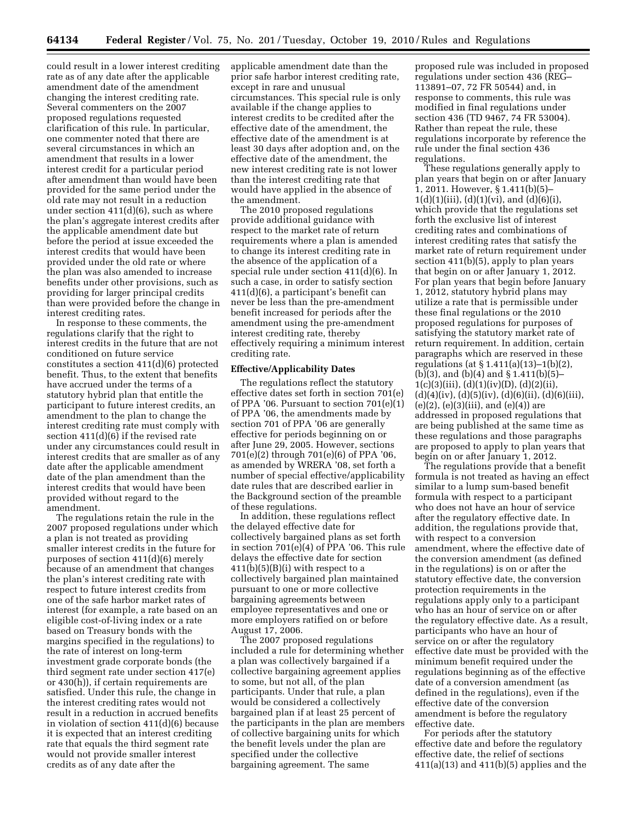could result in a lower interest crediting rate as of any date after the applicable amendment date of the amendment changing the interest crediting rate. Several commenters on the 2007 proposed regulations requested clarification of this rule. In particular, one commenter noted that there are several circumstances in which an amendment that results in a lower interest credit for a particular period after amendment than would have been provided for the same period under the old rate may not result in a reduction under section 411(d)(6), such as where the plan's aggregate interest credits after the applicable amendment date but before the period at issue exceeded the interest credits that would have been provided under the old rate or where the plan was also amended to increase benefits under other provisions, such as providing for larger principal credits than were provided before the change in interest crediting rates.

In response to these comments, the regulations clarify that the right to interest credits in the future that are not conditioned on future service constitutes a section 411(d)(6) protected benefit. Thus, to the extent that benefits have accrued under the terms of a statutory hybrid plan that entitle the participant to future interest credits, an amendment to the plan to change the interest crediting rate must comply with section 411(d)(6) if the revised rate under any circumstances could result in interest credits that are smaller as of any date after the applicable amendment date of the plan amendment than the interest credits that would have been provided without regard to the amendment.

The regulations retain the rule in the 2007 proposed regulations under which a plan is not treated as providing smaller interest credits in the future for purposes of section 411(d)(6) merely because of an amendment that changes the plan's interest crediting rate with respect to future interest credits from one of the safe harbor market rates of interest (for example, a rate based on an eligible cost-of-living index or a rate based on Treasury bonds with the margins specified in the regulations) to the rate of interest on long-term investment grade corporate bonds (the third segment rate under section 417(e) or 430(h)), if certain requirements are satisfied. Under this rule, the change in the interest crediting rates would not result in a reduction in accrued benefits in violation of section 411(d)(6) because it is expected that an interest crediting rate that equals the third segment rate would not provide smaller interest credits as of any date after the

applicable amendment date than the prior safe harbor interest crediting rate, except in rare and unusual circumstances. This special rule is only available if the change applies to interest credits to be credited after the effective date of the amendment, the effective date of the amendment is at least 30 days after adoption and, on the effective date of the amendment, the new interest crediting rate is not lower than the interest crediting rate that would have applied in the absence of the amendment.

The 2010 proposed regulations provide additional guidance with respect to the market rate of return requirements where a plan is amended to change its interest crediting rate in the absence of the application of a special rule under section 411(d)(6). In such a case, in order to satisfy section 411(d)(6), a participant's benefit can never be less than the pre-amendment benefit increased for periods after the amendment using the pre-amendment interest crediting rate, thereby effectively requiring a minimum interest crediting rate.

### **Effective/Applicability Dates**

The regulations reflect the statutory effective dates set forth in section 701(e) of PPA '06. Pursuant to section 701(e)(1) of PPA '06, the amendments made by section 701 of PPA '06 are generally effective for periods beginning on or after June 29, 2005. However, sections 701(e)(2) through 701(e)(6) of PPA '06, as amended by WRERA '08, set forth a number of special effective/applicability date rules that are described earlier in the Background section of the preamble of these regulations.

In addition, these regulations reflect the delayed effective date for collectively bargained plans as set forth in section 701(e)(4) of PPA '06. This rule delays the effective date for section  $411(b)(5)(B)(i)$  with respect to a collectively bargained plan maintained pursuant to one or more collective bargaining agreements between employee representatives and one or more employers ratified on or before August 17, 2006.

The 2007 proposed regulations included a rule for determining whether a plan was collectively bargained if a collective bargaining agreement applies to some, but not all, of the plan participants. Under that rule, a plan would be considered a collectively bargained plan if at least 25 percent of the participants in the plan are members of collective bargaining units for which the benefit levels under the plan are specified under the collective bargaining agreement. The same

proposed rule was included in proposed regulations under section 436 (REG– 113891–07, 72 FR 50544) and, in response to comments, this rule was modified in final regulations under section 436 (TD 9467, 74 FR 53004). Rather than repeat the rule, these regulations incorporate by reference the rule under the final section 436 regulations.

These regulations generally apply to plan years that begin on or after January 1, 2011. However, § 1.411(b)(5)–  $1(d)(1)(iii)$ ,  $(d)(1)(vi)$ , and  $(d)(6)(i)$ , which provide that the regulations set forth the exclusive list of interest crediting rates and combinations of interest crediting rates that satisfy the market rate of return requirement under section 411(b)(5), apply to plan years that begin on or after January 1, 2012. For plan years that begin before January 1, 2012, statutory hybrid plans may utilize a rate that is permissible under these final regulations or the 2010 proposed regulations for purposes of satisfying the statutory market rate of return requirement. In addition, certain paragraphs which are reserved in these regulations (at § 1.411(a)(13)–1(b)(2), (b)(3), and (b)(4) and § 1.411(b)(5)–  $1(c)(3)(iii), (d)(1)(iv)(D), (d)(2)(ii),$  $(d)(4)(iv), (d)(5)(iv), (d)(6)(ii), (d)(6)(iii),$  $(e)(2)$ ,  $(e)(3)(iii)$ , and  $(e)(4)$  are addressed in proposed regulations that are being published at the same time as these regulations and those paragraphs are proposed to apply to plan years that begin on or after January 1, 2012.

The regulations provide that a benefit formula is not treated as having an effect similar to a lump sum-based benefit formula with respect to a participant who does not have an hour of service after the regulatory effective date. In addition, the regulations provide that, with respect to a conversion amendment, where the effective date of the conversion amendment (as defined in the regulations) is on or after the statutory effective date, the conversion protection requirements in the regulations apply only to a participant who has an hour of service on or after the regulatory effective date. As a result, participants who have an hour of service on or after the regulatory effective date must be provided with the minimum benefit required under the regulations beginning as of the effective date of a conversion amendment (as defined in the regulations), even if the effective date of the conversion amendment is before the regulatory effective date.

For periods after the statutory effective date and before the regulatory effective date, the relief of sections 411(a)(13) and 411(b)(5) applies and the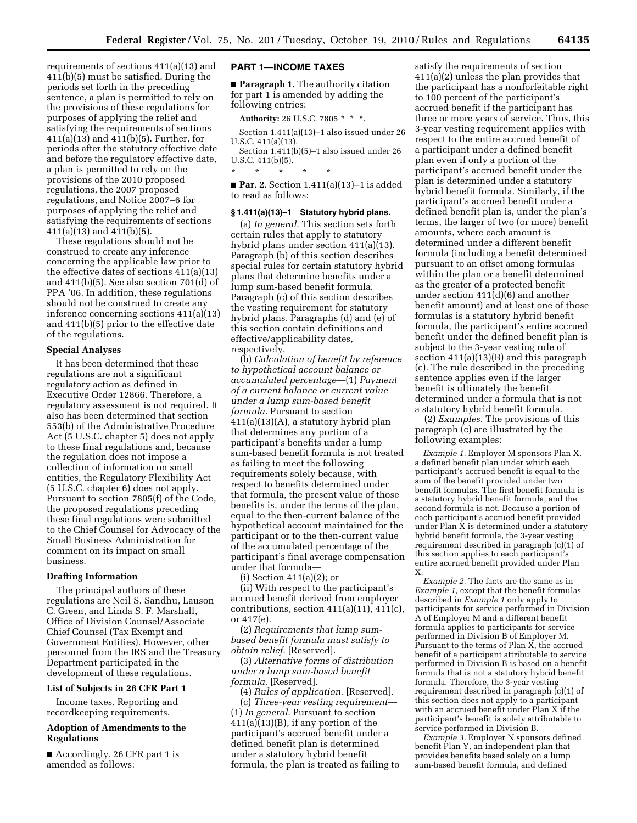requirements of sections 411(a)(13) and 411(b)(5) must be satisfied. During the periods set forth in the preceding sentence, a plan is permitted to rely on the provisions of these regulations for purposes of applying the relief and satisfying the requirements of sections 411(a)(13) and 411(b)(5). Further, for periods after the statutory effective date and before the regulatory effective date, a plan is permitted to rely on the provisions of the 2010 proposed regulations, the 2007 proposed regulations, and Notice 2007–6 for purposes of applying the relief and satisfying the requirements of sections 411(a)(13) and 411(b)(5).

These regulations should not be construed to create any inference concerning the applicable law prior to the effective dates of sections 411(a)(13) and 411(b)(5). See also section 701(d) of PPA '06. In addition, these regulations should not be construed to create any inference concerning sections 411(a)(13) and 411(b)(5) prior to the effective date of the regulations.

#### **Special Analyses**

It has been determined that these regulations are not a significant regulatory action as defined in Executive Order 12866. Therefore, a regulatory assessment is not required. It also has been determined that section 553(b) of the Administrative Procedure Act (5 U.S.C. chapter 5) does not apply to these final regulations and, because the regulation does not impose a collection of information on small entities, the Regulatory Flexibility Act (5 U.S.C. chapter 6) does not apply. Pursuant to section 7805(f) of the Code, the proposed regulations preceding these final regulations were submitted to the Chief Counsel for Advocacy of the Small Business Administration for comment on its impact on small business.

### **Drafting Information**

The principal authors of these regulations are Neil S. Sandhu, Lauson C. Green, and Linda S. F. Marshall, Office of Division Counsel/Associate Chief Counsel (Tax Exempt and Government Entities). However, other personnel from the IRS and the Treasury Department participated in the development of these regulations.

### **List of Subjects in 26 CFR Part 1**

Income taxes, Reporting and recordkeeping requirements.

#### **Adoption of Amendments to the Regulations**

■ Accordingly, 26 CFR part 1 is amended as follows:

#### **PART 1—INCOME TAXES**

■ **Paragraph 1.** The authority citation for part 1 is amended by adding the following entries:

**Authority:** 26 U.S.C. 7805 \* \* \*.

Section 1.411(a)(13)–1 also issued under 26 U.S.C. 411(a)(13).

Section 1.411(b)(5)–1 also issued under 26 U.S.C. 411(b)(5).

\* \* \* \* \* ■ **Par. 2.** Section 1.411(a)(13)–1 is added to read as follows:

#### **§ 1.411(a)(13)–1 Statutory hybrid plans.**

(a) *In general.* This section sets forth certain rules that apply to statutory hybrid plans under section 411(a)(13). Paragraph (b) of this section describes special rules for certain statutory hybrid plans that determine benefits under a lump sum-based benefit formula. Paragraph (c) of this section describes the vesting requirement for statutory hybrid plans. Paragraphs (d) and (e) of this section contain definitions and effective/applicability dates, respectively.

(b) *Calculation of benefit by reference to hypothetical account balance or accumulated percentage*—(1) *Payment of a current balance or current value under a lump sum-based benefit formula.* Pursuant to section 411(a)(13)(A), a statutory hybrid plan that determines any portion of a participant's benefits under a lump sum-based benefit formula is not treated as failing to meet the following requirements solely because, with respect to benefits determined under that formula, the present value of those benefits is, under the terms of the plan, equal to the then-current balance of the hypothetical account maintained for the participant or to the then-current value of the accumulated percentage of the participant's final average compensation under that formula—

(i) Section 411(a)(2); or

(ii) With respect to the participant's accrued benefit derived from employer contributions, section  $411(a)(11)$ ,  $411(c)$ , or 417(e).

(2) *Requirements that lump sumbased benefit formula must satisfy to obtain relief.* [Reserved].

(3) *Alternative forms of distribution under a lump sum-based benefit formula.* [Reserved].

(4) *Rules of application.* [Reserved]. (c) *Three-year vesting requirement*—

(1) *In general.* Pursuant to section 411(a)(13)(B), if any portion of the participant's accrued benefit under a defined benefit plan is determined under a statutory hybrid benefit formula, the plan is treated as failing to

satisfy the requirements of section 411(a)(2) unless the plan provides that the participant has a nonforfeitable right to 100 percent of the participant's accrued benefit if the participant has three or more years of service. Thus, this 3-year vesting requirement applies with respect to the entire accrued benefit of a participant under a defined benefit plan even if only a portion of the participant's accrued benefit under the plan is determined under a statutory hybrid benefit formula. Similarly, if the participant's accrued benefit under a defined benefit plan is, under the plan's terms, the larger of two (or more) benefit amounts, where each amount is determined under a different benefit formula (including a benefit determined pursuant to an offset among formulas within the plan or a benefit determined as the greater of a protected benefit under section 411(d)(6) and another benefit amount) and at least one of those formulas is a statutory hybrid benefit formula, the participant's entire accrued benefit under the defined benefit plan is subject to the 3-year vesting rule of section 411(a)(13)(B) and this paragraph (c). The rule described in the preceding sentence applies even if the larger benefit is ultimately the benefit determined under a formula that is not a statutory hybrid benefit formula.

(2) *Examples.* The provisions of this paragraph (c) are illustrated by the following examples:

*Example 1.* Employer M sponsors Plan X, a defined benefit plan under which each participant's accrued benefit is equal to the sum of the benefit provided under two benefit formulas. The first benefit formula is a statutory hybrid benefit formula, and the second formula is not. Because a portion of each participant's accrued benefit provided under Plan  $\bar{X}$  is determined under a statutory hybrid benefit formula, the 3-year vesting requirement described in paragraph (c)(1) of this section applies to each participant's entire accrued benefit provided under Plan X.

*Example 2.* The facts are the same as in *Example 1,* except that the benefit formulas described in *Example 1* only apply to participants for service performed in Division A of Employer M and a different benefit formula applies to participants for service performed in Division B of Employer M. Pursuant to the terms of Plan X, the accrued benefit of a participant attributable to service performed in Division B is based on a benefit formula that is not a statutory hybrid benefit formula. Therefore, the 3-year vesting requirement described in paragraph (c)(1) of this section does not apply to a participant with an accrued benefit under Plan X if the participant's benefit is solely attributable to service performed in Division B.

*Example 3.* Employer N sponsors defined benefit Plan Y, an independent plan that provides benefits based solely on a lump sum-based benefit formula, and defined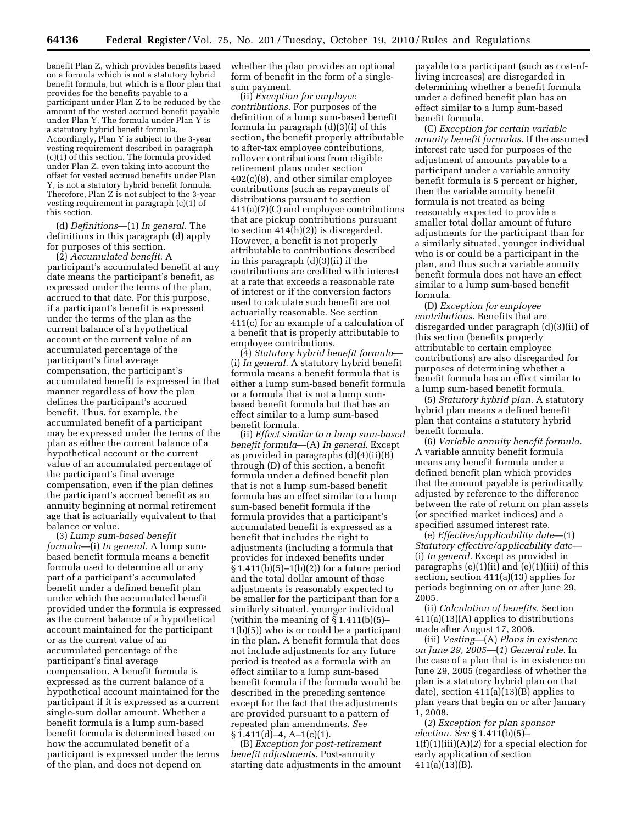benefit Plan Z, which provides benefits based on a formula which is not a statutory hybrid benefit formula, but which is a floor plan that provides for the benefits payable to a participant under Plan Z to be reduced by the amount of the vested accrued benefit payable under Plan Y. The formula under Plan Y is a statutory hybrid benefit formula. Accordingly, Plan Y is subject to the 3-year vesting requirement described in paragraph (c)(1) of this section. The formula provided under Plan Z, even taking into account the offset for vested accrued benefits under Plan Y, is not a statutory hybrid benefit formula. Therefore, Plan Z is not subject to the 3-year vesting requirement in paragraph (c)(1) of this section.

(d) *Definitions*—(1) *In general.* The definitions in this paragraph (d) apply for purposes of this section.

(2) *Accumulated benefit.* A participant's accumulated benefit at any date means the participant's benefit, as expressed under the terms of the plan, accrued to that date. For this purpose, if a participant's benefit is expressed under the terms of the plan as the current balance of a hypothetical account or the current value of an accumulated percentage of the participant's final average compensation, the participant's accumulated benefit is expressed in that manner regardless of how the plan defines the participant's accrued benefit. Thus, for example, the accumulated benefit of a participant may be expressed under the terms of the plan as either the current balance of a hypothetical account or the current value of an accumulated percentage of the participant's final average compensation, even if the plan defines the participant's accrued benefit as an annuity beginning at normal retirement age that is actuarially equivalent to that balance or value.

(3) *Lump sum-based benefit formula*—(i) *In general.* A lump sumbased benefit formula means a benefit formula used to determine all or any part of a participant's accumulated benefit under a defined benefit plan under which the accumulated benefit provided under the formula is expressed as the current balance of a hypothetical account maintained for the participant or as the current value of an accumulated percentage of the participant's final average compensation. A benefit formula is expressed as the current balance of a hypothetical account maintained for the participant if it is expressed as a current single-sum dollar amount. Whether a benefit formula is a lump sum-based benefit formula is determined based on how the accumulated benefit of a participant is expressed under the terms of the plan, and does not depend on

whether the plan provides an optional form of benefit in the form of a singlesum payment.

(ii) *Exception for employee contributions.* For purposes of the definition of a lump sum-based benefit formula in paragraph (d)(3)(i) of this section, the benefit properly attributable to after-tax employee contributions, rollover contributions from eligible retirement plans under section 402(c)(8), and other similar employee contributions (such as repayments of distributions pursuant to section 411(a)(7)(C) and employee contributions that are pickup contributions pursuant to section 414(h)(2)) is disregarded. However, a benefit is not properly attributable to contributions described in this paragraph (d)(3)(ii) if the contributions are credited with interest at a rate that exceeds a reasonable rate of interest or if the conversion factors used to calculate such benefit are not actuarially reasonable. See section 411(c) for an example of a calculation of a benefit that is properly attributable to employee contributions.

(4) *Statutory hybrid benefit formula*— (i) *In general.* A statutory hybrid benefit formula means a benefit formula that is either a lump sum-based benefit formula or a formula that is not a lump sumbased benefit formula but that has an effect similar to a lump sum-based benefit formula.

(ii) *Effect similar to a lump sum-based benefit formula*—(A) *In general.* Except as provided in paragraphs (d)(4)(ii)(B) through (D) of this section, a benefit formula under a defined benefit plan that is not a lump sum-based benefit formula has an effect similar to a lump sum-based benefit formula if the formula provides that a participant's accumulated benefit is expressed as a benefit that includes the right to adjustments (including a formula that provides for indexed benefits under  $§ 1.411(b)(5)-1(b)(2))$  for a future period and the total dollar amount of those adjustments is reasonably expected to be smaller for the participant than for a similarly situated, younger individual (within the meaning of  $\S 1.411(b)(5)$ – 1(b)(5)) who is or could be a participant in the plan. A benefit formula that does not include adjustments for any future period is treated as a formula with an effect similar to a lump sum-based benefit formula if the formula would be described in the preceding sentence except for the fact that the adjustments are provided pursuant to a pattern of repeated plan amendments. *See*   $§ 1.411(d) - 4, A - 1(c)(1).$ 

(B) *Exception for post-retirement benefit adjustments.* Post-annuity starting date adjustments in the amount

payable to a participant (such as cost-ofliving increases) are disregarded in determining whether a benefit formula under a defined benefit plan has an effect similar to a lump sum-based benefit formula.

(C) *Exception for certain variable annuity benefit formulas.* If the assumed interest rate used for purposes of the adjustment of amounts payable to a participant under a variable annuity benefit formula is 5 percent or higher, then the variable annuity benefit formula is not treated as being reasonably expected to provide a smaller total dollar amount of future adjustments for the participant than for a similarly situated, younger individual who is or could be a participant in the plan, and thus such a variable annuity benefit formula does not have an effect similar to a lump sum-based benefit formula.

(D) *Exception for employee contributions.* Benefits that are disregarded under paragraph (d)(3)(ii) of this section (benefits properly attributable to certain employee contributions) are also disregarded for purposes of determining whether a benefit formula has an effect similar to a lump sum-based benefit formula.

(5) *Statutory hybrid plan.* A statutory hybrid plan means a defined benefit plan that contains a statutory hybrid benefit formula.

(6) *Variable annuity benefit formula.*  A variable annuity benefit formula means any benefit formula under a defined benefit plan which provides that the amount payable is periodically adjusted by reference to the difference between the rate of return on plan assets (or specified market indices) and a specified assumed interest rate.

(e) *Effective/applicability date*—(1) *Statutory effective/applicability date*— (i) *In general.* Except as provided in paragraphs (e)(1)(ii) and (e)(1)(iii) of this section, section 411(a)(13) applies for periods beginning on or after June 29, 2005.

(ii) *Calculation of benefits.* Section 411(a)(13)(A) applies to distributions made after August 17, 2006.

(iii) *Vesting*—(A) *Plans in existence on June 29, 2005*—(*1*) *General rule.* In the case of a plan that is in existence on June 29, 2005 (regardless of whether the plan is a statutory hybrid plan on that date), section 411(a)(13)(B) applies to plan years that begin on or after January 1, 2008.

(*2*) *Exception for plan sponsor election. See* § 1.411(b)(5)– 1(f)(1)(iii)(A)(*2*) for a special election for early application of section 411(a)(13)(B).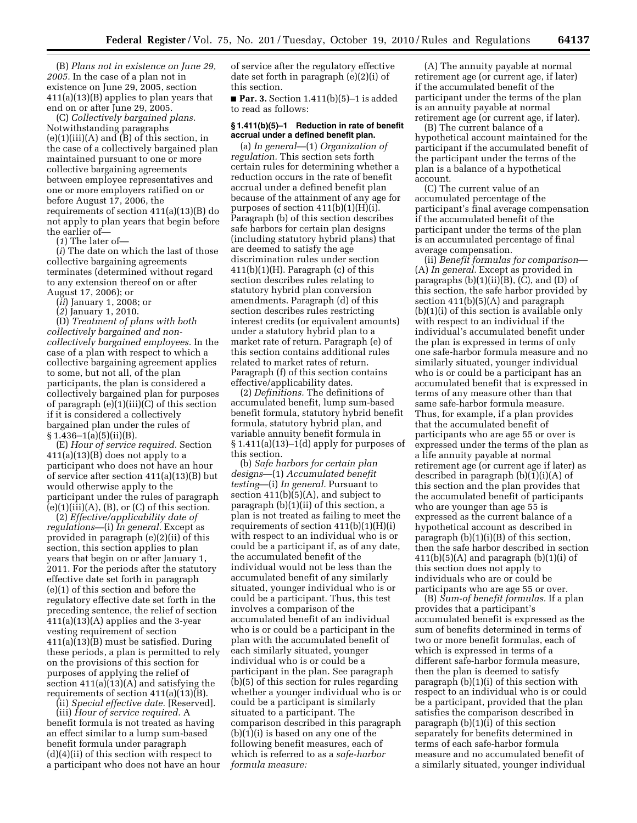(B) *Plans not in existence on June 29, 2005.* In the case of a plan not in existence on June 29, 2005, section 411(a)(13)(B) applies to plan years that end on or after June 29, 2005.

(C) *Collectively bargained plans.*  Notwithstanding paragraphs (e)(1)(iii)(A) and (B) of this section, in the case of a collectively bargained plan maintained pursuant to one or more collective bargaining agreements between employee representatives and one or more employers ratified on or before August 17, 2006, the requirements of section 411(a)(13)(B) do not apply to plan years that begin before the earlier of—

(*1*) The later of—

(*i*) The date on which the last of those collective bargaining agreements terminates (determined without regard to any extension thereof on or after August 17, 2006); or

(*ii*) January 1, 2008; or

(*2*) January 1, 2010.

(D) *Treatment of plans with both collectively bargained and noncollectively bargained employees.* In the case of a plan with respect to which a collective bargaining agreement applies to some, but not all, of the plan participants, the plan is considered a collectively bargained plan for purposes of paragraph (e)(1)(iii)(C) of this section if it is considered a collectively bargained plan under the rules of  $§ 1.436-1(a)(5)(ii)(B).$ 

(E) *Hour of service required.* Section  $411(a)(13)(B)$  does not apply to a participant who does not have an hour of service after section 411(a)(13)(B) but would otherwise apply to the participant under the rules of paragraph  $(e)(1)(iii)(A), (B),$  or  $(C)$  of this section.

(2) *Effective/applicability date of regulations—*(i) *In general.* Except as provided in paragraph (e)(2)(ii) of this section, this section applies to plan years that begin on or after January 1, 2011. For the periods after the statutory effective date set forth in paragraph (e)(1) of this section and before the regulatory effective date set forth in the preceding sentence, the relief of section 411(a)(13)(A) applies and the 3-year vesting requirement of section 411(a)(13)(B) must be satisfied. During these periods, a plan is permitted to rely on the provisions of this section for purposes of applying the relief of section 411(a)(13)(A) and satisfying the requirements of section 411(a)(13)(B).

(ii) *Special effective date.* [Reserved]. (iii) *Hour of service required.* A benefit formula is not treated as having an effect similar to a lump sum-based benefit formula under paragraph  $(d)(4)(ii)$  of this section with respect to a participant who does not have an hour of service after the regulatory effective date set forth in paragraph (e)(2)(i) of this section.

■ **Par. 3.** Section 1.411(b)(5)–1 is added to read as follows:

### **§ 1.411(b)(5)–1 Reduction in rate of benefit accrual under a defined benefit plan.**

(a) *In general*—(1) *Organization of regulation.* This section sets forth certain rules for determining whether a reduction occurs in the rate of benefit accrual under a defined benefit plan because of the attainment of any age for purposes of section  $411(b)(1)(H)(i)$ . Paragraph (b) of this section describes safe harbors for certain plan designs (including statutory hybrid plans) that are deemed to satisfy the age discrimination rules under section  $411(b)(1)(H)$ . Paragraph (c) of this section describes rules relating to statutory hybrid plan conversion amendments. Paragraph (d) of this section describes rules restricting interest credits (or equivalent amounts) under a statutory hybrid plan to a market rate of return. Paragraph (e) of this section contains additional rules related to market rates of return. Paragraph (f) of this section contains effective/applicability dates.

(2) *Definitions.* The definitions of accumulated benefit, lump sum-based benefit formula, statutory hybrid benefit formula, statutory hybrid plan, and variable annuity benefit formula in  $§ 1.411(a)(13)-1(d)$  apply for purposes of this section.

(b) *Safe harbors for certain plan designs*—(1) *Accumulated benefit testing*—(i) *In general.* Pursuant to section  $411(b)(5)(A)$ , and subject to paragraph (b)(1)(ii) of this section, a plan is not treated as failing to meet the requirements of section  $411(b)(1)(H)(i)$ with respect to an individual who is or could be a participant if, as of any date, the accumulated benefit of the individual would not be less than the accumulated benefit of any similarly situated, younger individual who is or could be a participant. Thus, this test involves a comparison of the accumulated benefit of an individual who is or could be a participant in the plan with the accumulated benefit of each similarly situated, younger individual who is or could be a participant in the plan. See paragraph (b)(5) of this section for rules regarding whether a younger individual who is or could be a participant is similarly situated to a participant. The comparison described in this paragraph (b)(1)(i) is based on any one of the following benefit measures, each of which is referred to as a *safe-harbor formula measure:* 

(A) The annuity payable at normal retirement age (or current age, if later) if the accumulated benefit of the participant under the terms of the plan is an annuity payable at normal retirement age (or current age, if later).

(B) The current balance of a hypothetical account maintained for the participant if the accumulated benefit of the participant under the terms of the plan is a balance of a hypothetical account.

(C) The current value of an accumulated percentage of the participant's final average compensation if the accumulated benefit of the participant under the terms of the plan is an accumulated percentage of final average compensation.

(ii) *Benefit formulas for comparison*— (A) *In general.* Except as provided in paragraphs  $(b)(1)(ii)(B)$ ,  $(C)$ , and  $(D)$  of this section, the safe harbor provided by section 411(b)(5)(A) and paragraph (b)(1)(i) of this section is available only with respect to an individual if the individual's accumulated benefit under the plan is expressed in terms of only one safe-harbor formula measure and no similarly situated, younger individual who is or could be a participant has an accumulated benefit that is expressed in terms of any measure other than that same safe-harbor formula measure. Thus, for example, if a plan provides that the accumulated benefit of participants who are age 55 or over is expressed under the terms of the plan as a life annuity payable at normal retirement age (or current age if later) as described in paragraph (b)(1)(i)(A) of this section and the plan provides that the accumulated benefit of participants who are younger than age 55 is expressed as the current balance of a hypothetical account as described in paragraph  $(b)(1)(i)(B)$  of this section, then the safe harbor described in section  $411(b)(5)(A)$  and paragraph  $(b)(1)(i)$  of this section does not apply to individuals who are or could be participants who are age 55 or over.

(B) *Sum-of benefit formulas.* If a plan provides that a participant's accumulated benefit is expressed as the sum of benefits determined in terms of two or more benefit formulas, each of which is expressed in terms of a different safe-harbor formula measure, then the plan is deemed to satisfy paragraph (b)(1)(i) of this section with respect to an individual who is or could be a participant, provided that the plan satisfies the comparison described in paragraph (b)(1)(i) of this section separately for benefits determined in terms of each safe-harbor formula measure and no accumulated benefit of a similarly situated, younger individual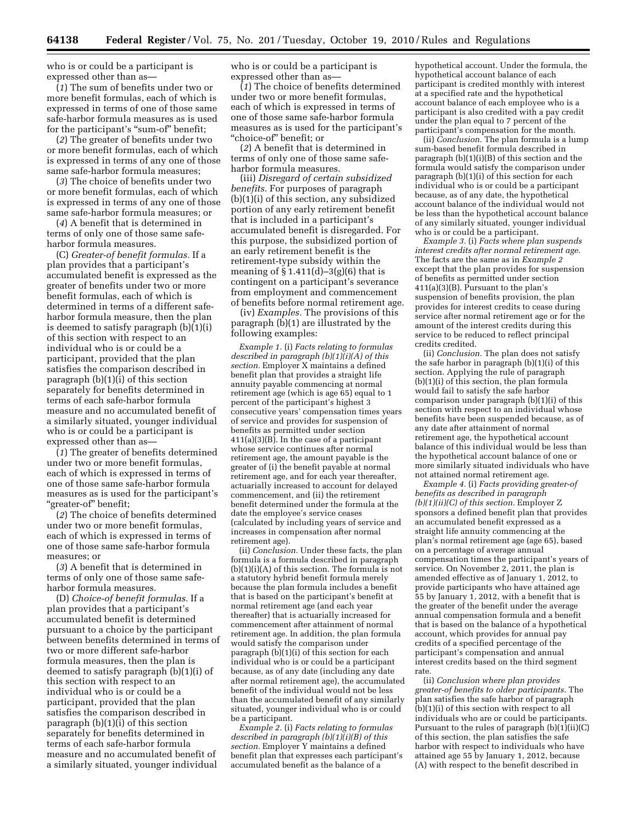who is or could be a participant is expressed other than as—

(*1*) The sum of benefits under two or more benefit formulas, each of which is expressed in terms of one of those same safe-harbor formula measures as is used for the participant's "sum-of" benefit;

(*2*) The greater of benefits under two or more benefit formulas, each of which is expressed in terms of any one of those same safe-harbor formula measures;

(*3*) The choice of benefits under two or more benefit formulas, each of which is expressed in terms of any one of those same safe-harbor formula measures; or

(*4*) A benefit that is determined in terms of only one of those same safeharbor formula measures.

(C) *Greater-of benefit formulas.* If a plan provides that a participant's accumulated benefit is expressed as the greater of benefits under two or more benefit formulas, each of which is determined in terms of a different safeharbor formula measure, then the plan is deemed to satisfy paragraph (b)(1)(i) of this section with respect to an individual who is or could be a participant, provided that the plan satisfies the comparison described in paragraph (b)(1)(i) of this section separately for benefits determined in terms of each safe-harbor formula measure and no accumulated benefit of a similarly situated, younger individual who is or could be a participant is expressed other than as—

(*1*) The greater of benefits determined under two or more benefit formulas, each of which is expressed in terms of one of those same safe-harbor formula measures as is used for the participant's ''greater-of'' benefit;

(*2*) The choice of benefits determined under two or more benefit formulas, each of which is expressed in terms of one of those same safe-harbor formula measures; or

(*3*) A benefit that is determined in terms of only one of those same safeharbor formula measures.

(D) *Choice-of benefit formulas.* If a plan provides that a participant's accumulated benefit is determined pursuant to a choice by the participant between benefits determined in terms of two or more different safe-harbor formula measures, then the plan is deemed to satisfy paragraph (b)(1)(i) of this section with respect to an individual who is or could be a participant, provided that the plan satisfies the comparison described in paragraph (b)(1)(i) of this section separately for benefits determined in terms of each safe-harbor formula measure and no accumulated benefit of a similarly situated, younger individual

who is or could be a participant is expressed other than as—

(*1*) The choice of benefits determined under two or more benefit formulas, each of which is expressed in terms of one of those same safe-harbor formula measures as is used for the participant's ''choice-of'' benefit; or

(*2*) A benefit that is determined in terms of only one of those same safeharbor formula measures.

(iii) *Disregard of certain subsidized benefits.* For purposes of paragraph (b)(1)(i) of this section, any subsidized portion of any early retirement benefit that is included in a participant's accumulated benefit is disregarded. For this purpose, the subsidized portion of an early retirement benefit is the retirement-type subsidy within the meaning of  $\S 1.411(d) - 3(g)(6)$  that is contingent on a participant's severance from employment and commencement of benefits before normal retirement age.

(iv) *Examples.* The provisions of this paragraph (b)(1) are illustrated by the following examples:

*Example 1.* (i) *Facts relating to formulas described in paragraph (b)(1)(i)(A) of this section.* Employer X maintains a defined benefit plan that provides a straight life annuity payable commencing at normal retirement age (which is age 65) equal to 1 percent of the participant's highest 3 consecutive years' compensation times years of service and provides for suspension of benefits as permitted under section 411(a)(3)(B). In the case of a participant whose service continues after normal retirement age, the amount payable is the greater of (i) the benefit payable at normal retirement age, and for each year thereafter, actuarially increased to account for delayed commencement, and (ii) the retirement benefit determined under the formula at the date the employee's service ceases (calculated by including years of service and increases in compensation after normal retirement age).

(ii) *Conclusion.* Under these facts, the plan formula is a formula described in paragraph  $(b)(1)(i)(A)$  of this section. The formula is not a statutory hybrid benefit formula merely because the plan formula includes a benefit that is based on the participant's benefit at normal retirement age (and each year thereafter) that is actuarially increased for commencement after attainment of normal retirement age. In addition, the plan formula would satisfy the comparison under paragraph (b)(1)(i) of this section for each individual who is or could be a participant because, as of any date (including any date after normal retirement age), the accumulated benefit of the individual would not be less than the accumulated benefit of any similarly situated, younger individual who is or could be a participant.

*Example 2.* (i) *Facts relating to formulas described in paragraph (b)(1)(i)(B) of this section.* Employer Y maintains a defined benefit plan that expresses each participant's accumulated benefit as the balance of a

hypothetical account. Under the formula, the hypothetical account balance of each participant is credited monthly with interest at a specified rate and the hypothetical account balance of each employee who is a participant is also credited with a pay credit under the plan equal to 7 percent of the participant's compensation for the month.

(ii) *Conclusion.* The plan formula is a lump sum-based benefit formula described in paragraph  $(b)(1)(i)(B)$  of this section and the formula would satisfy the comparison under paragraph (b)(1)(i) of this section for each individual who is or could be a participant because, as of any date, the hypothetical account balance of the individual would not be less than the hypothetical account balance of any similarly situated, younger individual who is or could be a participant.

*Example 3.* (i) *Facts where plan suspends interest credits after normal retirement age.*  The facts are the same as in *Example 2*  except that the plan provides for suspension of benefits as permitted under section 411(a)(3)(B). Pursuant to the plan's suspension of benefits provision, the plan provides for interest credits to cease during service after normal retirement age or for the amount of the interest credits during this service to be reduced to reflect principal credits credited.

(ii) *Conclusion.* The plan does not satisfy the safe harbor in paragraph (b)(1)(i) of this section. Applying the rule of paragraph (b)(1)(i) of this section, the plan formula would fail to satisfy the safe harbor comparison under paragraph (b)(1)(i) of this section with respect to an individual whose benefits have been suspended because, as of any date after attainment of normal retirement age, the hypothetical account balance of this individual would be less than the hypothetical account balance of one or more similarly situated individuals who have not attained normal retirement age.

*Example 4.* (i) *Facts providing greater-of benefits as described in paragraph (b)(1)(ii)(C) of this section.* Employer Z sponsors a defined benefit plan that provides an accumulated benefit expressed as a straight life annuity commencing at the plan's normal retirement age (age 65), based on a percentage of average annual compensation times the participant's years of service. On November 2, 2011, the plan is amended effective as of January 1, 2012, to provide participants who have attained age 55 by January 1, 2012, with a benefit that is the greater of the benefit under the average annual compensation formula and a benefit that is based on the balance of a hypothetical account, which provides for annual pay credits of a specified percentage of the participant's compensation and annual interest credits based on the third segment rate.

(ii) *Conclusion where plan provides greater-of benefits to older participants.* The plan satisfies the safe harbor of paragraph (b)(1)(i) of this section with respect to all individuals who are or could be participants. Pursuant to the rules of paragraph  $(b)(1)(ii)(C)$ of this section, the plan satisfies the safe harbor with respect to individuals who have attained age 55 by January 1, 2012, because (A) with respect to the benefit described in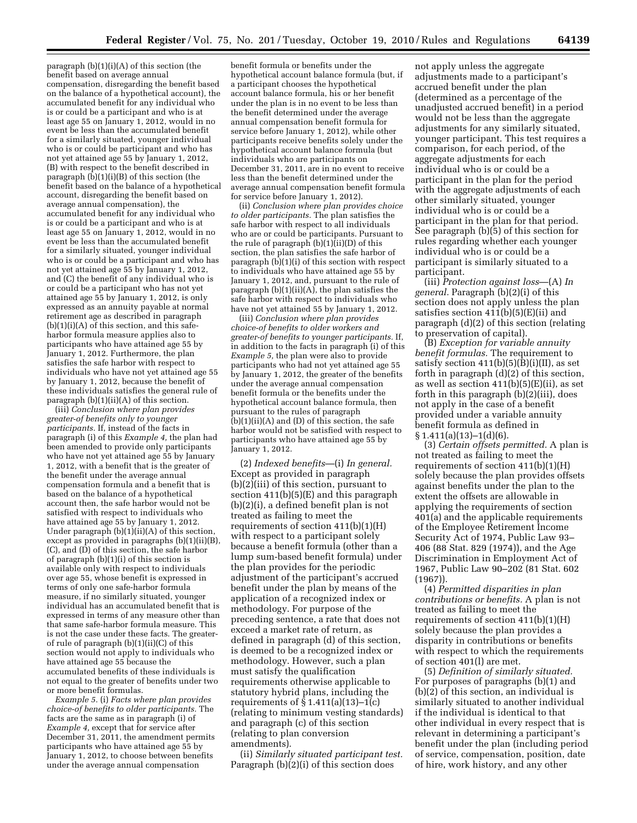paragraph  $(b)(1)(i)(A)$  of this section (the benefit based on average annual compensation, disregarding the benefit based on the balance of a hypothetical account), the accumulated benefit for any individual who is or could be a participant and who is at least age 55 on January 1, 2012, would in no event be less than the accumulated benefit for a similarly situated, younger individual who is or could be participant and who has not yet attained age 55 by January 1, 2012, (B) with respect to the benefit described in paragraph  $(b)(1)(i)(B)$  of this section (the benefit based on the balance of a hypothetical account, disregarding the benefit based on average annual compensation), the accumulated benefit for any individual who is or could be a participant and who is at least age 55 on January 1, 2012, would in no event be less than the accumulated benefit for a similarly situated, younger individual who is or could be a participant and who has not yet attained age 55 by January 1, 2012, and (C) the benefit of any individual who is or could be a participant who has not yet attained age 55 by January 1, 2012, is only expressed as an annuity payable at normal retirement age as described in paragraph  $(b)(1)(i)(A)$  of this section, and this safeharbor formula measure applies also to participants who have attained age 55 by January 1, 2012. Furthermore, the plan satisfies the safe harbor with respect to individuals who have not yet attained age 55 by January 1, 2012, because the benefit of these individuals satisfies the general rule of paragraph (b)(1)(ii)(A) of this section. (iii) *Conclusion where plan provides* 

*greater-of benefits only to younger participants.* If, instead of the facts in paragraph (i) of this *Example 4,* the plan had been amended to provide only participants who have not yet attained age 55 by January 1, 2012, with a benefit that is the greater of the benefit under the average annual compensation formula and a benefit that is based on the balance of a hypothetical account then, the safe harbor would not be satisfied with respect to individuals who have attained age 55 by January 1, 2012. Under paragraph (b)(1)(ii)(A) of this section, except as provided in paragraphs (b)(1)(ii)(B), (C), and (D) of this section, the safe harbor of paragraph (b)(1)(i) of this section is available only with respect to individuals over age 55, whose benefit is expressed in terms of only one safe-harbor formula measure, if no similarly situated, younger individual has an accumulated benefit that is expressed in terms of any measure other than that same safe-harbor formula measure. This is not the case under these facts. The greaterof rule of paragraph (b)(1)(ii)(C) of this section would not apply to individuals who have attained age 55 because the accumulated benefits of these individuals is not equal to the greater of benefits under two or more benefit formulas.

*Example 5.* (i) *Facts where plan provides choice-of benefits to older participants.* The facts are the same as in paragraph (i) of *Example 4,* except that for service after December 31, 2011, the amendment permits participants who have attained age 55 by January 1, 2012, to choose between benefits under the average annual compensation

benefit formula or benefits under the hypothetical account balance formula (but, if a participant chooses the hypothetical account balance formula, his or her benefit under the plan is in no event to be less than the benefit determined under the average annual compensation benefit formula for service before January 1, 2012), while other participants receive benefits solely under the hypothetical account balance formula (but individuals who are participants on December 31, 2011, are in no event to receive less than the benefit determined under the average annual compensation benefit formula for service before January 1, 2012).

(ii) *Conclusion where plan provides choice to older participants.* The plan satisfies the safe harbor with respect to all individuals who are or could be participants. Pursuant to the rule of paragraph (b)(1)(ii)(D) of this section, the plan satisfies the safe harbor of paragraph (b)(1)(i) of this section with respect to individuals who have attained age 55 by January 1, 2012, and, pursuant to the rule of paragraph  $(b)(1)(ii)(A)$ , the plan satisfies the safe harbor with respect to individuals who have not yet attained 55 by January 1, 2012.

(iii) *Conclusion where plan provides choice-of benefits to older workers and greater-of benefits to younger participants.* If, in addition to the facts in paragraph (i) of this *Example 5,* the plan were also to provide participants who had not yet attained age 55 by January 1, 2012, the greater of the benefits under the average annual compensation benefit formula or the benefits under the hypothetical account balance formula, then pursuant to the rules of paragraph  $(b)(1)(ii)(A)$  and  $(D)$  of this section, the safe harbor would not be satisfied with respect to participants who have attained age 55 by January 1, 2012.

(2) *Indexed benefits*—(i) *In general.*  Except as provided in paragraph (b)(2)(iii) of this section, pursuant to section 411(b)(5)(E) and this paragraph (b)(2)(i), a defined benefit plan is not treated as failing to meet the requirements of section 411(b)(1)(H) with respect to a participant solely because a benefit formula (other than a lump sum-based benefit formula) under the plan provides for the periodic adjustment of the participant's accrued benefit under the plan by means of the application of a recognized index or methodology. For purpose of the preceding sentence, a rate that does not exceed a market rate of return, as defined in paragraph (d) of this section, is deemed to be a recognized index or methodology. However, such a plan must satisfy the qualification requirements otherwise applicable to statutory hybrid plans, including the requirements of § 1.411(a)(13)–1(c) (relating to minimum vesting standards) and paragraph (c) of this section (relating to plan conversion amendments).

(ii) *Similarly situated participant test.*  Paragraph (b)(2)(i) of this section does

not apply unless the aggregate adjustments made to a participant's accrued benefit under the plan (determined as a percentage of the unadjusted accrued benefit) in a period would not be less than the aggregate adjustments for any similarly situated, younger participant. This test requires a comparison, for each period, of the aggregate adjustments for each individual who is or could be a participant in the plan for the period with the aggregate adjustments of each other similarly situated, younger individual who is or could be a participant in the plan for that period. See paragraph (b)(5) of this section for rules regarding whether each younger individual who is or could be a participant is similarly situated to a participant.

(iii) *Protection against loss*—(A) *In general.* Paragraph (b)(2)(i) of this section does not apply unless the plan satisfies section  $411(b)(5)(E)(ii)$  and paragraph (d)(2) of this section (relating to preservation of capital).

(B) *Exception for variable annuity benefit formulas.* The requirement to satisfy section  $411(b)(5)(B)(i)(II)$ , as set forth in paragraph (d)(2) of this section, as well as section  $411(b)(5)(E(ii))$ , as set forth in this paragraph (b)(2)(iii), does not apply in the case of a benefit provided under a variable annuity benefit formula as defined in  $§ 1.411(a)(13)-1(d)(6).$ 

(3) *Certain offsets permitted.* A plan is not treated as failing to meet the requirements of section  $411(b)(1)(H)$ solely because the plan provides offsets against benefits under the plan to the extent the offsets are allowable in applying the requirements of section 401(a) and the applicable requirements of the Employee Retirement Income Security Act of 1974, Public Law 93– 406 (88 Stat. 829 (1974)), and the Age Discrimination in Employment Act of 1967, Public Law 90–202 (81 Stat. 602 (1967)).

(4) *Permitted disparities in plan contributions or benefits.* A plan is not treated as failing to meet the requirements of section  $411(b)(1)(H)$ solely because the plan provides a disparity in contributions or benefits with respect to which the requirements of section 401(l) are met.

(5) *Definition of similarly situated.*  For purposes of paragraphs (b)(1) and (b)(2) of this section, an individual is similarly situated to another individual if the individual is identical to that other individual in every respect that is relevant in determining a participant's benefit under the plan (including period of service, compensation, position, date of hire, work history, and any other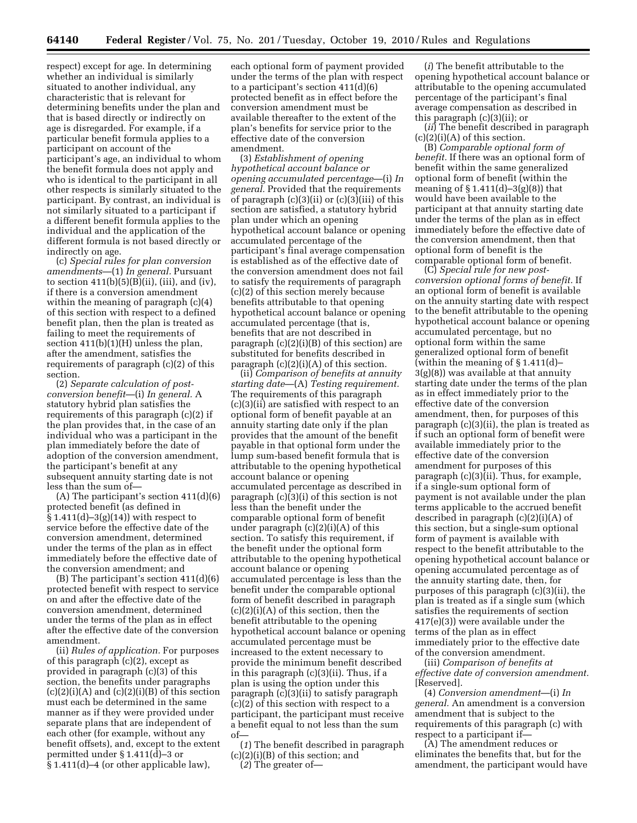respect) except for age. In determining whether an individual is similarly situated to another individual, any characteristic that is relevant for determining benefits under the plan and that is based directly or indirectly on age is disregarded. For example, if a particular benefit formula applies to a participant on account of the participant's age, an individual to whom the benefit formula does not apply and who is identical to the participant in all other respects is similarly situated to the participant. By contrast, an individual is not similarly situated to a participant if a different benefit formula applies to the individual and the application of the different formula is not based directly or indirectly on age.

(c) *Special rules for plan conversion amendments*—(1) *In general.* Pursuant to section  $411(b)(5)(B)(ii)$ , (iii), and (iv), if there is a conversion amendment within the meaning of paragraph (c)(4) of this section with respect to a defined benefit plan, then the plan is treated as failing to meet the requirements of section 411(b)(1)(H) unless the plan, after the amendment, satisfies the requirements of paragraph (c)(2) of this section.

(2) *Separate calculation of postconversion benefit*—(i) *In general.* A statutory hybrid plan satisfies the requirements of this paragraph (c)(2) if the plan provides that, in the case of an individual who was a participant in the plan immediately before the date of adoption of the conversion amendment, the participant's benefit at any subsequent annuity starting date is not less than the sum of—

(A) The participant's section 411(d)(6) protected benefit (as defined in § 1.411(d)–3(g)(14)) with respect to service before the effective date of the conversion amendment, determined under the terms of the plan as in effect immediately before the effective date of the conversion amendment; and

(B) The participant's section 411(d)(6) protected benefit with respect to service on and after the effective date of the conversion amendment, determined under the terms of the plan as in effect after the effective date of the conversion amendment.

(ii) *Rules of application.* For purposes of this paragraph (c)(2), except as provided in paragraph (c)(3) of this section, the benefits under paragraphs  $(c)(2)(i)(A)$  and  $(c)(2)(i)(B)$  of this section must each be determined in the same manner as if they were provided under separate plans that are independent of each other (for example, without any benefit offsets), and, except to the extent permitted under § 1.411(d)–3 or § 1.411(d)–4 (or other applicable law),

each optional form of payment provided under the terms of the plan with respect to a participant's section 411(d)(6) protected benefit as in effect before the conversion amendment must be available thereafter to the extent of the plan's benefits for service prior to the effective date of the conversion amendment.

(3) *Establishment of opening hypothetical account balance or opening accumulated percentage*—(i) *In general.* Provided that the requirements of paragraph  $(c)(3)(ii)$  or  $(c)(3)(iii)$  of this section are satisfied, a statutory hybrid plan under which an opening hypothetical account balance or opening accumulated percentage of the participant's final average compensation is established as of the effective date of the conversion amendment does not fail to satisfy the requirements of paragraph (c)(2) of this section merely because benefits attributable to that opening hypothetical account balance or opening accumulated percentage (that is, benefits that are not described in paragraph (c)(2)(i)(B) of this section) are substituted for benefits described in paragraph  $(c)(2)(i)(A)$  of this section.

(ii) *Comparison of benefits at annuity starting date*—(A) *Testing requirement.*  The requirements of this paragraph (c)(3)(ii) are satisfied with respect to an optional form of benefit payable at an annuity starting date only if the plan provides that the amount of the benefit payable in that optional form under the lump sum-based benefit formula that is attributable to the opening hypothetical account balance or opening accumulated percentage as described in paragraph (c)(3)(i) of this section is not less than the benefit under the comparable optional form of benefit under paragraph  $(c)(2)(i)(A)$  of this section. To satisfy this requirement, if the benefit under the optional form attributable to the opening hypothetical account balance or opening accumulated percentage is less than the benefit under the comparable optional form of benefit described in paragraph  $(c)(2)(i)(A)$  of this section, then the benefit attributable to the opening hypothetical account balance or opening accumulated percentage must be increased to the extent necessary to provide the minimum benefit described in this paragraph (c)(3)(ii). Thus, if a plan is using the option under this paragraph (c)(3)(ii) to satisfy paragraph (c)(2) of this section with respect to a participant, the participant must receive a benefit equal to not less than the sum of—

(*1*) The benefit described in paragraph (c)(2)(i)(B) of this section; and

(*2*) The greater of—

(*i*) The benefit attributable to the opening hypothetical account balance or attributable to the opening accumulated percentage of the participant's final average compensation as described in this paragraph (c)(3)(ii); or

(*ii*) The benefit described in paragraph  $(c)(2)(i)(A)$  of this section.

(B) *Comparable optional form of benefit.* If there was an optional form of benefit within the same generalized optional form of benefit (within the meaning of  $\S 1.411(d) - 3(g)(8)$  that would have been available to the participant at that annuity starting date under the terms of the plan as in effect immediately before the effective date of the conversion amendment, then that optional form of benefit is the comparable optional form of benefit.

(C) *Special rule for new postconversion optional forms of benefit.* If an optional form of benefit is available on the annuity starting date with respect to the benefit attributable to the opening hypothetical account balance or opening accumulated percentage, but no optional form within the same generalized optional form of benefit (within the meaning of § 1.411(d)– 3(g)(8)) was available at that annuity starting date under the terms of the plan as in effect immediately prior to the effective date of the conversion amendment, then, for purposes of this paragraph (c)(3)(ii), the plan is treated as if such an optional form of benefit were available immediately prior to the effective date of the conversion amendment for purposes of this paragraph (c)(3)(ii). Thus, for example, if a single-sum optional form of payment is not available under the plan terms applicable to the accrued benefit described in paragraph (c)(2)(i)(A) of this section, but a single-sum optional form of payment is available with respect to the benefit attributable to the opening hypothetical account balance or opening accumulated percentage as of the annuity starting date, then, for purposes of this paragraph (c)(3)(ii), the plan is treated as if a single sum (which satisfies the requirements of section 417(e)(3)) were available under the terms of the plan as in effect immediately prior to the effective date of the conversion amendment.

(iii) *Comparison of benefits at effective date of conversion amendment.*  [Reserved].

(4) *Conversion amendment*—(i) *In general.* An amendment is a conversion amendment that is subject to the requirements of this paragraph (c) with respect to a participant if—

(A) The amendment reduces or eliminates the benefits that, but for the amendment, the participant would have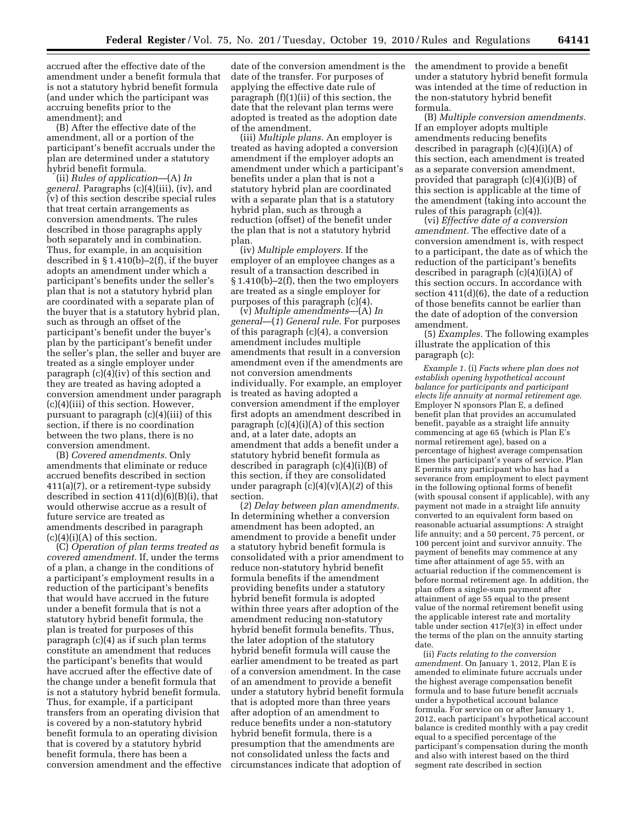accrued after the effective date of the amendment under a benefit formula that is not a statutory hybrid benefit formula (and under which the participant was accruing benefits prior to the amendment); and

(B) After the effective date of the amendment, all or a portion of the participant's benefit accruals under the plan are determined under a statutory hybrid benefit formula.

(ii) *Rules of application*—(A) *In general.* Paragraphs (c)(4)(iii), (iv), and (v) of this section describe special rules that treat certain arrangements as conversion amendments. The rules described in those paragraphs apply both separately and in combination. Thus, for example, in an acquisition described in § 1.410(b)–2(f), if the buyer adopts an amendment under which a participant's benefits under the seller's plan that is not a statutory hybrid plan are coordinated with a separate plan of the buyer that is a statutory hybrid plan, such as through an offset of the participant's benefit under the buyer's plan by the participant's benefit under the seller's plan, the seller and buyer are treated as a single employer under paragraph  $(c)(4)(iv)$  of this section and they are treated as having adopted a conversion amendment under paragraph (c)(4)(iii) of this section. However, pursuant to paragraph (c)(4)(iii) of this section, if there is no coordination between the two plans, there is no conversion amendment.

(B) *Covered amendments.* Only amendments that eliminate or reduce accrued benefits described in section 411(a)(7), or a retirement-type subsidy described in section 411(d)(6)(B)(i), that would otherwise accrue as a result of future service are treated as amendments described in paragraph  $(c)(4)(i)(A)$  of this section.

(C) *Operation of plan terms treated as covered amendment.* If, under the terms of a plan, a change in the conditions of a participant's employment results in a reduction of the participant's benefits that would have accrued in the future under a benefit formula that is not a statutory hybrid benefit formula, the plan is treated for purposes of this paragraph (c)(4) as if such plan terms constitute an amendment that reduces the participant's benefits that would have accrued after the effective date of the change under a benefit formula that is not a statutory hybrid benefit formula. Thus, for example, if a participant transfers from an operating division that is covered by a non-statutory hybrid benefit formula to an operating division that is covered by a statutory hybrid benefit formula, there has been a conversion amendment and the effective

date of the conversion amendment is the date of the transfer. For purposes of applying the effective date rule of paragraph (f)(1)(ii) of this section, the date that the relevant plan terms were adopted is treated as the adoption date of the amendment.

(iii) *Multiple plans.* An employer is treated as having adopted a conversion amendment if the employer adopts an amendment under which a participant's benefits under a plan that is not a statutory hybrid plan are coordinated with a separate plan that is a statutory hybrid plan, such as through a reduction (offset) of the benefit under the plan that is not a statutory hybrid plan.

(iv) *Multiple employers.* If the employer of an employee changes as a result of a transaction described in § 1.410(b)–2(f), then the two employers are treated as a single employer for purposes of this paragraph (c)(4).

(v) *Multiple amendments*—(A) *In general*—(*1*) *General rule.* For purposes of this paragraph (c)(4), a conversion amendment includes multiple amendments that result in a conversion amendment even if the amendments are not conversion amendments individually. For example, an employer is treated as having adopted a conversion amendment if the employer first adopts an amendment described in paragraph  $(c)(4)(i)(A)$  of this section and, at a later date, adopts an amendment that adds a benefit under a statutory hybrid benefit formula as described in paragraph (c)(4)(i)(B) of this section, if they are consolidated under paragraph (c)(4)(v)(A)(*2*) of this section.

(*2*) *Delay between plan amendments.*  In determining whether a conversion amendment has been adopted, an amendment to provide a benefit under a statutory hybrid benefit formula is consolidated with a prior amendment to reduce non-statutory hybrid benefit formula benefits if the amendment providing benefits under a statutory hybrid benefit formula is adopted within three years after adoption of the amendment reducing non-statutory hybrid benefit formula benefits. Thus, the later adoption of the statutory hybrid benefit formula will cause the earlier amendment to be treated as part of a conversion amendment. In the case of an amendment to provide a benefit under a statutory hybrid benefit formula that is adopted more than three years after adoption of an amendment to reduce benefits under a non-statutory hybrid benefit formula, there is a presumption that the amendments are not consolidated unless the facts and circumstances indicate that adoption of

the amendment to provide a benefit under a statutory hybrid benefit formula was intended at the time of reduction in the non-statutory hybrid benefit formula.

(B) *Multiple conversion amendments.*  If an employer adopts multiple amendments reducing benefits described in paragraph (c)(4)(i)(A) of this section, each amendment is treated as a separate conversion amendment, provided that paragraph (c)(4)(i)(B) of this section is applicable at the time of the amendment (taking into account the rules of this paragraph (c)(4)).

(vi) *Effective date of a conversion amendment.* The effective date of a conversion amendment is, with respect to a participant, the date as of which the reduction of the participant's benefits described in paragraph (c)(4)(i)(A) of this section occurs. In accordance with section 411(d)(6), the date of a reduction of those benefits cannot be earlier than the date of adoption of the conversion amendment.

(5) *Examples.* The following examples illustrate the application of this paragraph (c):

*Example 1.* (i) *Facts where plan does not establish opening hypothetical account balance for participants and participant elects life annuity at normal retirement age.*  Employer N sponsors Plan E, a defined benefit plan that provides an accumulated benefit, payable as a straight life annuity commencing at age 65 (which is Plan E's normal retirement age), based on a percentage of highest average compensation times the participant's years of service. Plan E permits any participant who has had a severance from employment to elect payment in the following optional forms of benefit (with spousal consent if applicable), with any payment not made in a straight life annuity converted to an equivalent form based on reasonable actuarial assumptions: A straight life annuity; and a 50 percent, 75 percent, or 100 percent joint and survivor annuity. The payment of benefits may commence at any time after attainment of age 55, with an actuarial reduction if the commencement is before normal retirement age. In addition, the plan offers a single-sum payment after attainment of age 55 equal to the present value of the normal retirement benefit using the applicable interest rate and mortality table under section 417(e)(3) in effect under the terms of the plan on the annuity starting date.

(ii) *Facts relating to the conversion amendment.* On January 1, 2012, Plan E is amended to eliminate future accruals under the highest average compensation benefit formula and to base future benefit accruals under a hypothetical account balance formula. For service on or after January 1, 2012, each participant's hypothetical account balance is credited monthly with a pay credit equal to a specified percentage of the participant's compensation during the month and also with interest based on the third segment rate described in section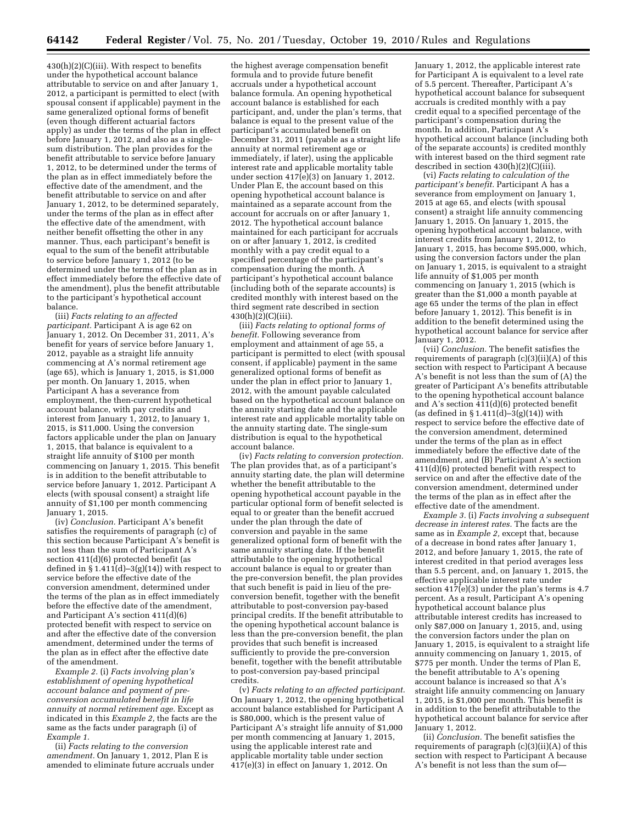$430(h)(2)(C)(iii)$ . With respect to benefits under the hypothetical account balance attributable to service on and after January 1, 2012, a participant is permitted to elect (with spousal consent if applicable) payment in the same generalized optional forms of benefit (even though different actuarial factors apply) as under the terms of the plan in effect before January 1, 2012, and also as a singlesum distribution. The plan provides for the benefit attributable to service before January 1, 2012, to be determined under the terms of the plan as in effect immediately before the effective date of the amendment, and the benefit attributable to service on and after January 1, 2012, to be determined separately, under the terms of the plan as in effect after the effective date of the amendment, with neither benefit offsetting the other in any manner. Thus, each participant's benefit is equal to the sum of the benefit attributable to service before January 1, 2012 (to be determined under the terms of the plan as in effect immediately before the effective date of the amendment), plus the benefit attributable to the participant's hypothetical account balance.

(iii) *Facts relating to an affected participant.* Participant A is age 62 on January 1, 2012. On December 31, 2011, A's benefit for years of service before January 1, 2012, payable as a straight life annuity commencing at A's normal retirement age (age 65), which is January 1, 2015, is \$1,000 per month. On January 1, 2015, when Participant A has a severance from employment, the then-current hypothetical account balance, with pay credits and interest from January 1, 2012, to January 1, 2015, is \$11,000. Using the conversion factors applicable under the plan on January 1, 2015, that balance is equivalent to a straight life annuity of \$100 per month commencing on January 1, 2015. This benefit is in addition to the benefit attributable to service before January 1, 2012. Participant A elects (with spousal consent) a straight life annuity of \$1,100 per month commencing January 1, 2015.

(iv) *Conclusion.* Participant A's benefit satisfies the requirements of paragraph (c) of this section because Participant A's benefit is not less than the sum of Participant A's section 411(d)(6) protected benefit (as defined in  $\S 1.411(d) - 3(g)(14)$  with respect to service before the effective date of the conversion amendment, determined under the terms of the plan as in effect immediately before the effective date of the amendment, and Participant A's section 411(d)(6) protected benefit with respect to service on and after the effective date of the conversion amendment, determined under the terms of the plan as in effect after the effective date of the amendment.

*Example 2.* (i) *Facts involving plan's establishment of opening hypothetical account balance and payment of preconversion accumulated benefit in life annuity at normal retirement age.* Except as indicated in this *Example 2,* the facts are the same as the facts under paragraph (i) of *Example 1.* 

(ii) *Facts relating to the conversion amendment.* On January 1, 2012, Plan E is amended to eliminate future accruals under

the highest average compensation benefit formula and to provide future benefit accruals under a hypothetical account balance formula. An opening hypothetical account balance is established for each participant, and, under the plan's terms, that balance is equal to the present value of the participant's accumulated benefit on December 31, 2011 (payable as a straight life annuity at normal retirement age or immediately, if later), using the applicable interest rate and applicable mortality table under section  $417(e)(3)$  on January 1, 2012. Under Plan E, the account based on this opening hypothetical account balance is maintained as a separate account from the account for accruals on or after January 1, 2012. The hypothetical account balance maintained for each participant for accruals on or after January 1, 2012, is credited monthly with a pay credit equal to a specified percentage of the participant's compensation during the month. A participant's hypothetical account balance (including both of the separate accounts) is credited monthly with interest based on the third segment rate described in section  $430(h)(2)(C)(iii)$ .

(iii) *Facts relating to optional forms of benefit.* Following severance from employment and attainment of age 55, a participant is permitted to elect (with spousal consent, if applicable) payment in the same generalized optional forms of benefit as under the plan in effect prior to January 1, 2012, with the amount payable calculated based on the hypothetical account balance on the annuity starting date and the applicable interest rate and applicable mortality table on the annuity starting date. The single-sum distribution is equal to the hypothetical account balance.

(iv) *Facts relating to conversion protection.*  The plan provides that, as of a participant's annuity starting date, the plan will determine whether the benefit attributable to the opening hypothetical account payable in the particular optional form of benefit selected is equal to or greater than the benefit accrued under the plan through the date of conversion and payable in the same generalized optional form of benefit with the same annuity starting date. If the benefit attributable to the opening hypothetical account balance is equal to or greater than the pre-conversion benefit, the plan provides that such benefit is paid in lieu of the preconversion benefit, together with the benefit attributable to post-conversion pay-based principal credits. If the benefit attributable to the opening hypothetical account balance is less than the pre-conversion benefit, the plan provides that such benefit is increased sufficiently to provide the pre-conversion benefit, together with the benefit attributable to post-conversion pay-based principal credits.

(v) *Facts relating to an affected participant.*  On January 1, 2012, the opening hypothetical account balance established for Participant A is \$80,000, which is the present value of Participant A's straight life annuity of \$1,000 per month commencing at January 1, 2015, using the applicable interest rate and applicable mortality table under section  $417(e)(3)$  in effect on January 1, 2012. On

January 1, 2012, the applicable interest rate for Participant A is equivalent to a level rate of 5.5 percent. Thereafter, Participant A's hypothetical account balance for subsequent accruals is credited monthly with a pay credit equal to a specified percentage of the participant's compensation during the month. In addition, Participant A's hypothetical account balance (including both of the separate accounts) is credited monthly with interest based on the third segment rate described in section 430(h)(2)(C)(iii).

(vi) *Facts relating to calculation of the participant's benefit.* Participant A has a severance from employment on January 1, 2015 at age 65, and elects (with spousal consent) a straight life annuity commencing January 1, 2015. On January 1, 2015, the opening hypothetical account balance, with interest credits from January 1, 2012, to January 1, 2015, has become \$95,000, which, using the conversion factors under the plan on January 1, 2015, is equivalent to a straight life annuity of \$1,005 per month commencing on January 1, 2015 (which is greater than the \$1,000 a month payable at age 65 under the terms of the plan in effect before January 1, 2012). This benefit is in addition to the benefit determined using the hypothetical account balance for service after January 1, 2012.

(vii) *Conclusion.* The benefit satisfies the requirements of paragraph (c)(3)(ii)(A) of this section with respect to Participant A because A's benefit is not less than the sum of (A) the greater of Participant A's benefits attributable to the opening hypothetical account balance and A's section 411(d)(6) protected benefit (as defined in  $\S 1.411(d) - 3(g)(14)$ ) with respect to service before the effective date of the conversion amendment, determined under the terms of the plan as in effect immediately before the effective date of the amendment, and (B) Participant A's section 411(d)(6) protected benefit with respect to service on and after the effective date of the conversion amendment, determined under the terms of the plan as in effect after the effective date of the amendment.

*Example 3.* (i) *Facts involving a subsequent decrease in interest rates.* The facts are the same as in *Example 2,* except that, because of a decrease in bond rates after January 1, 2012, and before January 1, 2015, the rate of interest credited in that period averages less than 5.5 percent, and, on January 1, 2015, the effective applicable interest rate under section  $417(e)(3)$  under the plan's terms is 4.7 percent. As a result, Participant A's opening hypothetical account balance plus attributable interest credits has increased to only \$87,000 on January 1, 2015, and, using the conversion factors under the plan on January 1, 2015, is equivalent to a straight life annuity commencing on January 1, 2015, of \$775 per month. Under the terms of Plan E, the benefit attributable to A's opening account balance is increased so that A's straight life annuity commencing on January 1, 2015, is \$1,000 per month. This benefit is in addition to the benefit attributable to the hypothetical account balance for service after January 1, 2012.

(ii) *Conclusion.* The benefit satisfies the requirements of paragraph  $(c)(3)(ii)(A)$  of this section with respect to Participant A because A's benefit is not less than the sum of—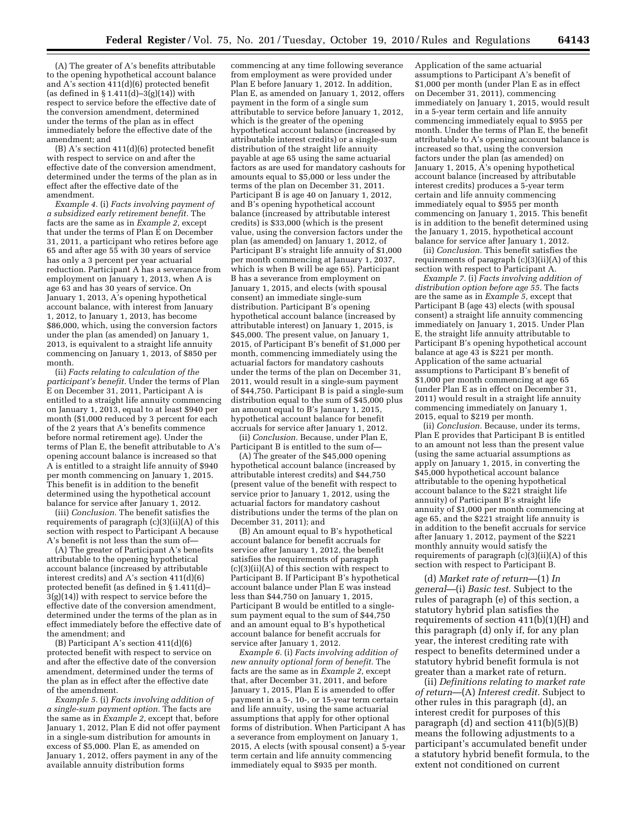(A) The greater of A's benefits attributable to the opening hypothetical account balance and A's section 411(d)(6) protected benefit (as defined in § 1.411(d)–3(g)(14)) with respect to service before the effective date of the conversion amendment, determined under the terms of the plan as in effect immediately before the effective date of the amendment; and

(B) A's section 411(d)(6) protected benefit with respect to service on and after the effective date of the conversion amendment, determined under the terms of the plan as in effect after the effective date of the amendment.

*Example 4.* (i) *Facts involving payment of a subsidized early retirement benefit.* The facts are the same as in *Example 2,* except that under the terms of Plan E on December 31, 2011, a participant who retires before age 65 and after age 55 with 30 years of service has only a 3 percent per year actuarial reduction. Participant A has a severance from employment on January 1, 2013, when A is age 63 and has 30 years of service. On January 1, 2013, A's opening hypothetical account balance, with interest from January 1, 2012, to January 1, 2013, has become \$86,000, which, using the conversion factors under the plan (as amended) on January 1, 2013, is equivalent to a straight life annuity commencing on January 1, 2013, of \$850 per month.

(ii) *Facts relating to calculation of the participant's benefit.* Under the terms of Plan E on December 31, 2011, Participant A is entitled to a straight life annuity commencing on January 1, 2013, equal to at least \$940 per month (\$1,000 reduced by 3 percent for each of the 2 years that A's benefits commence before normal retirement age). Under the terms of Plan E, the benefit attributable to A's opening account balance is increased so that A is entitled to a straight life annuity of \$940 per month commencing on January 1, 2015. This benefit is in addition to the benefit determined using the hypothetical account balance for service after January 1, 2012.

(iii) *Conclusion.* The benefit satisfies the requirements of paragraph (c)(3)(ii)(A) of this section with respect to Participant A because A's benefit is not less than the sum of—

(A) The greater of Participant A's benefits attributable to the opening hypothetical account balance (increased by attributable interest credits) and A's section 411(d)(6) protected benefit (as defined in § 1.411(d)– 3(g)(14)) with respect to service before the effective date of the conversion amendment, determined under the terms of the plan as in effect immediately before the effective date of the amendment; and

(B) Participant A's section 411(d)(6) protected benefit with respect to service on and after the effective date of the conversion amendment, determined under the terms of the plan as in effect after the effective date of the amendment.

*Example 5.* (i) *Facts involving addition of a single-sum payment option.* The facts are the same as in *Example 2,* except that, before January 1, 2012, Plan E did not offer payment in a single-sum distribution for amounts in excess of \$5,000. Plan E, as amended on January 1, 2012, offers payment in any of the available annuity distribution forms

commencing at any time following severance from employment as were provided under Plan E before January 1, 2012. In addition, Plan E, as amended on January 1, 2012, offers payment in the form of a single sum attributable to service before January 1, 2012, which is the greater of the opening hypothetical account balance (increased by attributable interest credits) or a single-sum distribution of the straight life annuity payable at age 65 using the same actuarial factors as are used for mandatory cashouts for amounts equal to \$5,000 or less under the terms of the plan on December 31, 2011. Participant B is age 40 on January 1, 2012, and B's opening hypothetical account balance (increased by attributable interest credits) is \$33,000 (which is the present value, using the conversion factors under the plan (as amended) on January 1, 2012, of Participant B's straight life annuity of \$1,000 per month commencing at January 1, 2037, which is when B will be age 65). Participant B has a severance from employment on January 1, 2015, and elects (with spousal consent) an immediate single-sum distribution. Participant B's opening hypothetical account balance (increased by attributable interest) on January 1, 2015, is \$45,000. The present value, on January 1, 2015, of Participant B's benefit of \$1,000 per month, commencing immediately using the actuarial factors for mandatory cashouts under the terms of the plan on December 31, 2011, would result in a single-sum payment of \$44,750. Participant B is paid a single-sum distribution equal to the sum of \$45,000 plus an amount equal to B's January 1, 2015, hypothetical account balance for benefit accruals for service after January 1, 2012.

(ii) *Conclusion.* Because, under Plan E, Participant B is entitled to the sum of—

(A) The greater of the \$45,000 opening hypothetical account balance (increased by attributable interest credits) and \$44,750 (present value of the benefit with respect to service prior to January 1, 2012, using the actuarial factors for mandatory cashout distributions under the terms of the plan on December 31, 2011); and

(B) An amount equal to B's hypothetical account balance for benefit accruals for service after January 1, 2012, the benefit satisfies the requirements of paragraph (c)(3)(ii)(A) of this section with respect to Participant B. If Participant B's hypothetical account balance under Plan E was instead less than \$44,750 on January 1, 2015, Participant B would be entitled to a singlesum payment equal to the sum of \$44,750 and an amount equal to B's hypothetical account balance for benefit accruals for service after January 1, 2012.

*Example 6.* (i) *Facts involving addition of new annuity optional form of benefit.* The facts are the same as in *Example 2,* except that, after December 31, 2011, and before January 1, 2015, Plan E is amended to offer payment in a 5-, 10-, or 15-year term certain and life annuity, using the same actuarial assumptions that apply for other optional forms of distribution. When Participant A has a severance from employment on January 1, 2015, A elects (with spousal consent) a 5-year term certain and life annuity commencing immediately equal to \$935 per month.

Application of the same actuarial assumptions to Participant A's benefit of \$1,000 per month (under Plan E as in effect on December 31, 2011), commencing immediately on January 1, 2015, would result in a 5-year term certain and life annuity commencing immediately equal to \$955 per month. Under the terms of Plan E, the benefit attributable to A's opening account balance is increased so that, using the conversion factors under the plan (as amended) on January 1, 2015, A's opening hypothetical account balance (increased by attributable interest credits) produces a 5-year term certain and life annuity commencing immediately equal to \$955 per month commencing on January 1, 2015. This benefit is in addition to the benefit determined using the January 1, 2015, hypothetical account balance for service after January 1, 2012.

(ii) *Conclusion.* This benefit satisfies the requirements of paragraph (c)(3)(ii)(A) of this section with respect to Participant A.

*Example 7.* (i) *Facts involving addition of distribution option before age 55.* The facts are the same as in *Example 5,* except that Participant B (age 43) elects (with spousal consent) a straight life annuity commencing immediately on January 1, 2015. Under Plan E, the straight life annuity attributable to Participant B's opening hypothetical account balance at age 43 is \$221 per month. Application of the same actuarial assumptions to Participant B's benefit of \$1,000 per month commencing at age 65 (under Plan E as in effect on December 31, 2011) would result in a straight life annuity commencing immediately on January 1, 2015, equal to \$219 per month.

(ii) *Conclusion.* Because, under its terms, Plan E provides that Participant B is entitled to an amount not less than the present value (using the same actuarial assumptions as apply on January 1, 2015, in converting the \$45,000 hypothetical account balance attributable to the opening hypothetical account balance to the \$221 straight life annuity) of Participant B's straight life annuity of \$1,000 per month commencing at age 65, and the \$221 straight life annuity is in addition to the benefit accruals for service after January 1, 2012, payment of the \$221 monthly annuity would satisfy the requirements of paragraph (c)(3)(ii)(A) of this section with respect to Participant B.

(d) *Market rate of return*—(1) *In general*—(i) *Basic test.* Subject to the rules of paragraph (e) of this section, a statutory hybrid plan satisfies the requirements of section 411(b)(1)(H) and this paragraph (d) only if, for any plan year, the interest crediting rate with respect to benefits determined under a statutory hybrid benefit formula is not greater than a market rate of return.

(ii) *Definitions relating to market rate of return*—(A) *Interest credit.* Subject to other rules in this paragraph (d), an interest credit for purposes of this paragraph (d) and section 411(b)(5)(B) means the following adjustments to a participant's accumulated benefit under a statutory hybrid benefit formula, to the extent not conditioned on current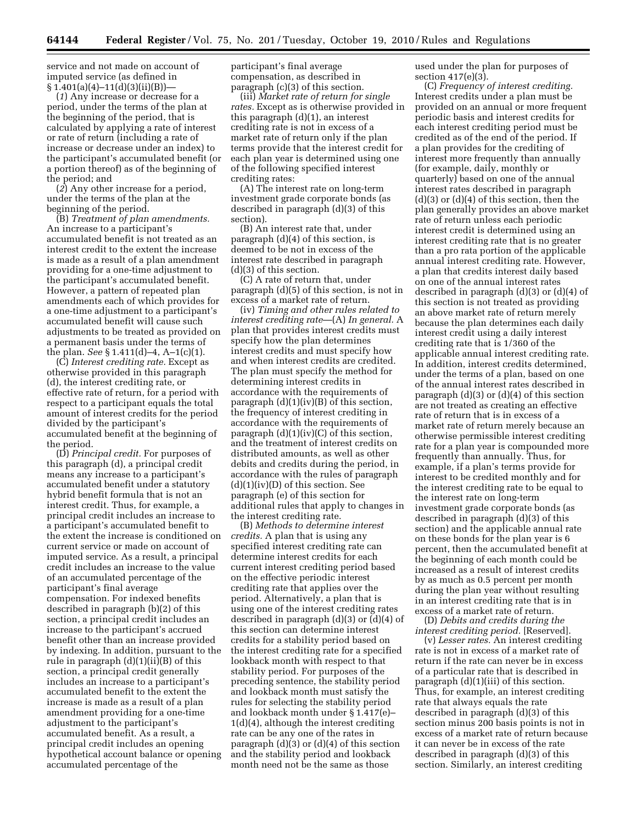service and not made on account of imputed service (as defined in  $\S 1.401(a)(4)-11(d)(3)(ii)(B)$ 

(*1*) Any increase or decrease for a period, under the terms of the plan at the beginning of the period, that is calculated by applying a rate of interest or rate of return (including a rate of increase or decrease under an index) to the participant's accumulated benefit (or a portion thereof) as of the beginning of the period; and

(*2*) Any other increase for a period, under the terms of the plan at the beginning of the period.

(B) *Treatment of plan amendments.*  An increase to a participant's accumulated benefit is not treated as an interest credit to the extent the increase is made as a result of a plan amendment providing for a one-time adjustment to the participant's accumulated benefit. However, a pattern of repeated plan amendments each of which provides for a one-time adjustment to a participant's accumulated benefit will cause such adjustments to be treated as provided on a permanent basis under the terms of the plan. *See* § 1.411(d)–4, A–1(c)(1).

(C) *Interest crediting rate.* Except as otherwise provided in this paragraph (d), the interest crediting rate, or effective rate of return, for a period with respect to a participant equals the total amount of interest credits for the period divided by the participant's accumulated benefit at the beginning of the period.

(D) *Principal credit.* For purposes of this paragraph (d), a principal credit means any increase to a participant's accumulated benefit under a statutory hybrid benefit formula that is not an interest credit. Thus, for example, a principal credit includes an increase to a participant's accumulated benefit to the extent the increase is conditioned on current service or made on account of imputed service. As a result, a principal credit includes an increase to the value of an accumulated percentage of the participant's final average compensation. For indexed benefits described in paragraph (b)(2) of this section, a principal credit includes an increase to the participant's accrued benefit other than an increase provided by indexing. In addition, pursuant to the rule in paragraph  $(d)(1)(ii)(B)$  of this section, a principal credit generally includes an increase to a participant's accumulated benefit to the extent the increase is made as a result of a plan amendment providing for a one-time adjustment to the participant's accumulated benefit. As a result, a principal credit includes an opening hypothetical account balance or opening accumulated percentage of the

participant's final average compensation, as described in paragraph (c)(3) of this section.

(iii) *Market rate of return for single rates.* Except as is otherwise provided in this paragraph (d)(1), an interest crediting rate is not in excess of a market rate of return only if the plan terms provide that the interest credit for each plan year is determined using one of the following specified interest crediting rates:

(A) The interest rate on long-term investment grade corporate bonds (as described in paragraph (d)(3) of this section).

(B) An interest rate that, under paragraph (d)(4) of this section, is deemed to be not in excess of the interest rate described in paragraph (d)(3) of this section.

(C) A rate of return that, under paragraph (d)(5) of this section, is not in excess of a market rate of return.

(iv) *Timing and other rules related to interest crediting rate*—(A) *In general.* A plan that provides interest credits must specify how the plan determines interest credits and must specify how and when interest credits are credited. The plan must specify the method for determining interest credits in accordance with the requirements of paragraph (d)(1)(iv)(B) of this section, the frequency of interest crediting in accordance with the requirements of paragraph  $(d)(1)(iv)(C)$  of this section, and the treatment of interest credits on distributed amounts, as well as other debits and credits during the period, in accordance with the rules of paragraph  $(d)(1)(iv)(D)$  of this section. See paragraph (e) of this section for additional rules that apply to changes in the interest crediting rate.

(B) *Methods to determine interest credits.* A plan that is using any specified interest crediting rate can determine interest credits for each current interest crediting period based on the effective periodic interest crediting rate that applies over the period. Alternatively, a plan that is using one of the interest crediting rates described in paragraph (d)(3) or (d)(4) of this section can determine interest credits for a stability period based on the interest crediting rate for a specified lookback month with respect to that stability period. For purposes of the preceding sentence, the stability period and lookback month must satisfy the rules for selecting the stability period and lookback month under § 1.417(e)– 1(d)(4), although the interest crediting rate can be any one of the rates in paragraph (d)(3) or (d)(4) of this section and the stability period and lookback month need not be the same as those

used under the plan for purposes of section 417(e)(3).

(C) *Frequency of interest crediting.*  Interest credits under a plan must be provided on an annual or more frequent periodic basis and interest credits for each interest crediting period must be credited as of the end of the period. If a plan provides for the crediting of interest more frequently than annually (for example, daily, monthly or quarterly) based on one of the annual interest rates described in paragraph (d)(3) or (d)(4) of this section, then the plan generally provides an above market rate of return unless each periodic interest credit is determined using an interest crediting rate that is no greater than a pro rata portion of the applicable annual interest crediting rate. However, a plan that credits interest daily based on one of the annual interest rates described in paragraph (d)(3) or (d)(4) of this section is not treated as providing an above market rate of return merely because the plan determines each daily interest credit using a daily interest crediting rate that is 1/360 of the applicable annual interest crediting rate. In addition, interest credits determined, under the terms of a plan, based on one of the annual interest rates described in paragraph  $(d)(3)$  or  $(d)(4)$  of this section are not treated as creating an effective rate of return that is in excess of a market rate of return merely because an otherwise permissible interest crediting rate for a plan year is compounded more frequently than annually. Thus, for example, if a plan's terms provide for interest to be credited monthly and for the interest crediting rate to be equal to the interest rate on long-term investment grade corporate bonds (as described in paragraph (d)(3) of this section) and the applicable annual rate on these bonds for the plan year is 6 percent, then the accumulated benefit at the beginning of each month could be increased as a result of interest credits by as much as 0.5 percent per month during the plan year without resulting in an interest crediting rate that is in excess of a market rate of return.

(D) *Debits and credits during the interest crediting period.* [Reserved].

(v) *Lesser rates.* An interest crediting rate is not in excess of a market rate of return if the rate can never be in excess of a particular rate that is described in paragraph (d)(1)(iii) of this section. Thus, for example, an interest crediting rate that always equals the rate described in paragraph (d)(3) of this section minus 200 basis points is not in excess of a market rate of return because it can never be in excess of the rate described in paragraph (d)(3) of this section. Similarly, an interest crediting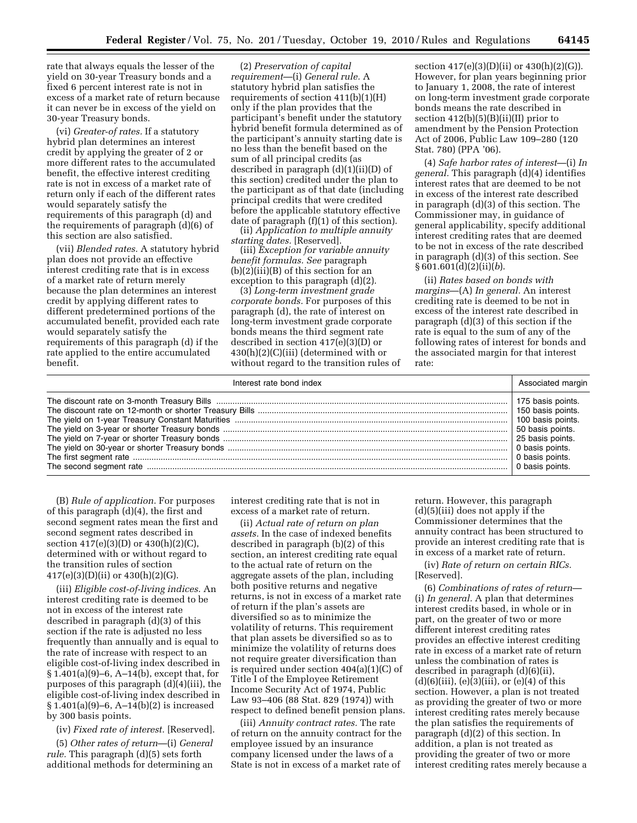rate that always equals the lesser of the yield on 30-year Treasury bonds and a fixed 6 percent interest rate is not in excess of a market rate of return because it can never be in excess of the yield on 30-year Treasury bonds.

(vi) *Greater-of rates.* If a statutory hybrid plan determines an interest credit by applying the greater of 2 or more different rates to the accumulated benefit, the effective interest crediting rate is not in excess of a market rate of return only if each of the different rates would separately satisfy the requirements of this paragraph (d) and the requirements of paragraph (d)(6) of this section are also satisfied.

(vii) *Blended rates.* A statutory hybrid plan does not provide an effective interest crediting rate that is in excess of a market rate of return merely because the plan determines an interest credit by applying different rates to different predetermined portions of the accumulated benefit, provided each rate would separately satisfy the requirements of this paragraph (d) if the rate applied to the entire accumulated benefit.

(2) *Preservation of capital requirement*—(i) *General rule.* A statutory hybrid plan satisfies the requirements of section 411(b)(1)(H) only if the plan provides that the participant's benefit under the statutory hybrid benefit formula determined as of the participant's annuity starting date is no less than the benefit based on the sum of all principal credits (as described in paragraph (d)(1)(ii)(D) of this section) credited under the plan to the participant as of that date (including principal credits that were credited before the applicable statutory effective date of paragraph (f)(1) of this section).

(ii) *Application to multiple annuity starting dates.* [Reserved].

(iii) *Exception for variable annuity benefit formulas. See* paragraph (b)(2)(iii)(B) of this section for an exception to this paragraph (d)(2).

(3) *Long-term investment grade corporate bonds.* For purposes of this paragraph (d), the rate of interest on long-term investment grade corporate bonds means the third segment rate described in section 417(e)(3)(D) or 430(h)(2)(C)(iii) (determined with or without regard to the transition rules of

section 417(e)(3)(D)(ii) or 430(h)(2)(G)). However, for plan years beginning prior to January 1, 2008, the rate of interest on long-term investment grade corporate bonds means the rate described in section 412(b)(5)(B)(ii)(II) prior to amendment by the Pension Protection Act of 2006, Public Law 109–280 (120 Stat. 780) (PPA '06).

(4) *Safe harbor rates of interest*—(i) *In general.* This paragraph (d)(4) identifies interest rates that are deemed to be not in excess of the interest rate described in paragraph (d)(3) of this section. The Commissioner may, in guidance of general applicability, specify additional interest crediting rates that are deemed to be not in excess of the rate described in paragraph (d)(3) of this section. See § 601.601(d)(2)(ii)(*b*).

(ii) *Rates based on bonds with margins*—(A) *In general.* An interest crediting rate is deemed to be not in excess of the interest rate described in paragraph (d)(3) of this section if the rate is equal to the sum of any of the following rates of interest for bonds and the associated margin for that interest rate:

| Interest rate bond index | Associated margin                                                          |
|--------------------------|----------------------------------------------------------------------------|
|                          | 175 basis points.<br>0 basis points.<br>0 basis points.<br>0 basis points. |

(B) *Rule of application.* For purposes of this paragraph (d)(4), the first and second segment rates mean the first and second segment rates described in section 417(e)(3)(D) or 430(h)(2)(C), determined with or without regard to the transition rules of section  $417(e)(3)(D)(ii)$  or  $430(h)(2)(G)$ .

(iii) *Eligible cost-of-living indices.* An interest crediting rate is deemed to be not in excess of the interest rate described in paragraph (d)(3) of this section if the rate is adjusted no less frequently than annually and is equal to the rate of increase with respect to an eligible cost-of-living index described in § 1.401(a)(9)–6, A–14(b), except that, for purposes of this paragraph (d)(4)(iii), the eligible cost-of-living index described in § 1.401(a)(9)–6, A–14(b)(2) is increased by 300 basis points.

(iv) *Fixed rate of interest.* [Reserved].

(5) *Other rates of return*—(i) *General rule.* This paragraph (d)(5) sets forth additional methods for determining an interest crediting rate that is not in excess of a market rate of return.

(ii) *Actual rate of return on plan assets.* In the case of indexed benefits described in paragraph (b)(2) of this section, an interest crediting rate equal to the actual rate of return on the aggregate assets of the plan, including both positive returns and negative returns, is not in excess of a market rate of return if the plan's assets are diversified so as to minimize the volatility of returns. This requirement that plan assets be diversified so as to minimize the volatility of returns does not require greater diversification than is required under section 404(a)(1)(C) of Title I of the Employee Retirement Income Security Act of 1974, Public Law 93–406 (88 Stat. 829 (1974)) with respect to defined benefit pension plans.

(iii) *Annuity contract rates.* The rate of return on the annuity contract for the employee issued by an insurance company licensed under the laws of a State is not in excess of a market rate of

return. However, this paragraph (d)(5)(iii) does not apply if the Commissioner determines that the annuity contract has been structured to provide an interest crediting rate that is in excess of a market rate of return.

(iv) *Rate of return on certain RICs.*  [Reserved].

(6) *Combinations of rates of return*— (i) *In general.* A plan that determines interest credits based, in whole or in part, on the greater of two or more different interest crediting rates provides an effective interest crediting rate in excess of a market rate of return unless the combination of rates is described in paragraph (d)(6)(ii),  $(d)(6)(iii), (e)(3)(iii), or (e)(4)$  of this section. However, a plan is not treated as providing the greater of two or more interest crediting rates merely because the plan satisfies the requirements of paragraph (d)(2) of this section. In addition, a plan is not treated as providing the greater of two or more interest crediting rates merely because a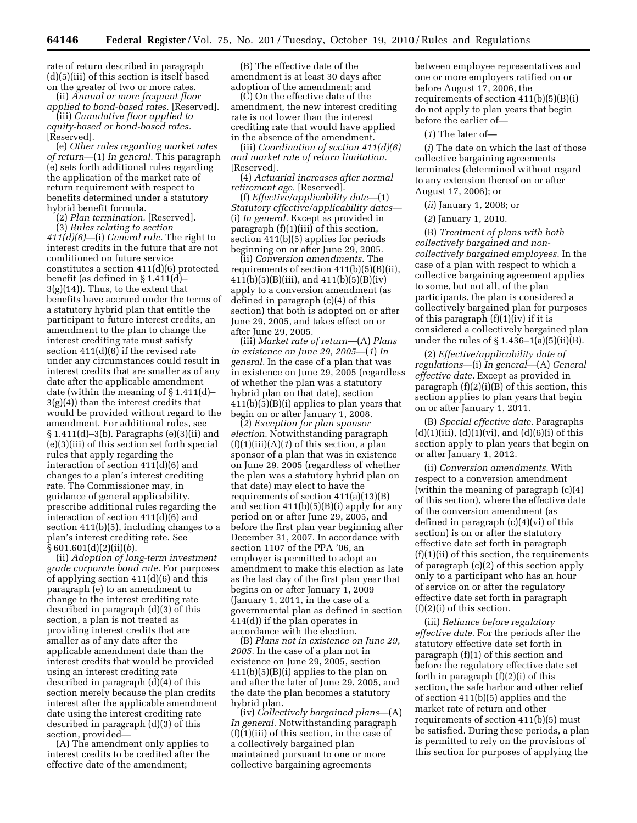rate of return described in paragraph (d)(5)(iii) of this section is itself based on the greater of two or more rates.

(ii) *Annual or more frequent floor applied to bond-based rates.* [Reserved].

(iii) *Cumulative floor applied to* 

*equity-based or bond-based rates.*  [Reserved].

(e) *Other rules regarding market rates of return*—(1) *In general.* This paragraph (e) sets forth additional rules regarding the application of the market rate of return requirement with respect to benefits determined under a statutory hybrid benefit formula.

(2) *Plan termination.* [Reserved]. (3) *Rules relating to section 411(d)(6)*—(i) *General rule.* The right to interest credits in the future that are not conditioned on future service constitutes a section 411(d)(6) protected benefit (as defined in § 1.411(d)– 3(g)(14)). Thus, to the extent that benefits have accrued under the terms of a statutory hybrid plan that entitle the participant to future interest credits, an amendment to the plan to change the interest crediting rate must satisfy section 411(d)(6) if the revised rate under any circumstances could result in interest credits that are smaller as of any date after the applicable amendment date (within the meaning of § 1.411(d)–  $3(g)(4)$ ) than the interest credits that would be provided without regard to the amendment. For additional rules, see § 1.411(d)–3(b). Paragraphs (e)(3)(ii) and (e)(3)(iii) of this section set forth special rules that apply regarding the interaction of section 411(d)(6) and changes to a plan's interest crediting rate. The Commissioner may, in guidance of general applicability, prescribe additional rules regarding the interaction of section 411(d)(6) and section 411(b)(5), including changes to a plan's interest crediting rate. See § 601.601(d)(2)(ii)(*b*).

(ii) *Adoption of long-term investment grade corporate bond rate.* For purposes of applying section 411(d)(6) and this paragraph (e) to an amendment to change to the interest crediting rate described in paragraph (d)(3) of this section, a plan is not treated as providing interest credits that are smaller as of any date after the applicable amendment date than the interest credits that would be provided using an interest crediting rate described in paragraph (d)(4) of this section merely because the plan credits interest after the applicable amendment date using the interest crediting rate described in paragraph (d)(3) of this section, provided—

(A) The amendment only applies to interest credits to be credited after the effective date of the amendment;

(B) The effective date of the amendment is at least 30 days after adoption of the amendment; and

(C) On the effective date of the amendment, the new interest crediting rate is not lower than the interest crediting rate that would have applied in the absence of the amendment.

(iii) *Coordination of section 411(d)(6) and market rate of return limitation.*  [Reserved].

(4) *Actuarial increases after normal retirement age.* [Reserved].

(f) *Effective/applicability date*—(1) *Statutory effective/applicability dates*— (i) *In general.* Except as provided in paragraph (f)(1)(iii) of this section, section 411(b)(5) applies for periods beginning on or after June 29, 2005.

(ii) *Conversion amendments.* The requirements of section 411(b)(5)(B)(ii), 411(b)(5)(B)(iii), and 411(b)(5)(B)(iv) apply to a conversion amendment (as defined in paragraph (c)(4) of this section) that both is adopted on or after June 29, 2005, and takes effect on or after June 29, 2005.

(iii) *Market rate of return*—(A) *Plans in existence on June 29, 2005*—(*1*) *In general.* In the case of a plan that was in existence on June 29, 2005 (regardless of whether the plan was a statutory hybrid plan on that date), section 411(b)(5)(B)(i) applies to plan years that begin on or after January 1, 2008.

(*2*) *Exception for plan sponsor election.* Notwithstanding paragraph  $(f)(1)(iii)(A)(1)$  of this section, a plan sponsor of a plan that was in existence on June 29, 2005 (regardless of whether the plan was a statutory hybrid plan on that date) may elect to have the requirements of section 411(a)(13)(B) and section  $411(b)(5)(B)(i)$  apply for any period on or after June 29, 2005, and before the first plan year beginning after December 31, 2007. In accordance with section 1107 of the PPA '06, an employer is permitted to adopt an amendment to make this election as late as the last day of the first plan year that begins on or after January 1, 2009 (January 1, 2011, in the case of a governmental plan as defined in section 414(d)) if the plan operates in accordance with the election.

(B) *Plans not in existence on June 29, 2005.* In the case of a plan not in existence on June 29, 2005, section 411(b)(5)(B)(i) applies to the plan on and after the later of June 29, 2005, and the date the plan becomes a statutory hybrid plan.

(iv) *Collectively bargained plans*—(A) *In general.* Notwithstanding paragraph (f)(1)(iii) of this section, in the case of a collectively bargained plan maintained pursuant to one or more collective bargaining agreements

between employee representatives and one or more employers ratified on or before August 17, 2006, the requirements of section  $411(b)(5)(B)(i)$ do not apply to plan years that begin before the earlier of—

(*1*) The later of—

(*i*) The date on which the last of those collective bargaining agreements terminates (determined without regard to any extension thereof on or after August 17, 2006); or

(*ii*) January 1, 2008; or

(*2*) January 1, 2010.

(B) *Treatment of plans with both collectively bargained and noncollectively bargained employees.* In the case of a plan with respect to which a collective bargaining agreement applies to some, but not all, of the plan participants, the plan is considered a collectively bargained plan for purposes of this paragraph  $(f)(1)(iv)$  if it is considered a collectively bargained plan under the rules of  $\S 1.436-1(a)(5)(ii)(B)$ .

(2) *Effective/applicability date of regulations*—(i) *In general*—(A) *General effective date.* Except as provided in paragraph  $(f)(2)(i)(B)$  of this section, this section applies to plan years that begin on or after January 1, 2011.

(B) *Special effective date.* Paragraphs  $(d)(1)(iii)$ ,  $(d)(1)(vi)$ , and  $(d)(6)(i)$  of this section apply to plan years that begin on or after January 1, 2012.

(ii) *Conversion amendments.* With respect to a conversion amendment (within the meaning of paragraph (c)(4) of this section), where the effective date of the conversion amendment (as defined in paragraph (c)(4)(vi) of this section) is on or after the statutory effective date set forth in paragraph (f)(1)(ii) of this section, the requirements of paragraph (c)(2) of this section apply only to a participant who has an hour of service on or after the regulatory effective date set forth in paragraph (f)(2)(i) of this section.

(iii) *Reliance before regulatory effective date.* For the periods after the statutory effective date set forth in paragraph (f)(1) of this section and before the regulatory effective date set forth in paragraph (f)(2)(i) of this section, the safe harbor and other relief of section 411(b)(5) applies and the market rate of return and other requirements of section 411(b)(5) must be satisfied. During these periods, a plan is permitted to rely on the provisions of this section for purposes of applying the